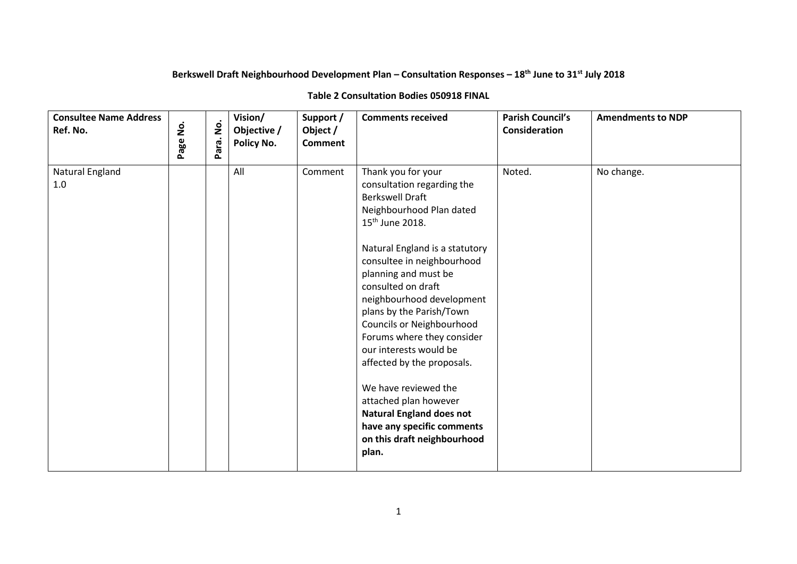## **Berkswell Draft Neighbourhood Development Plan – Consultation Responses – 18th June to 31st July 2018**

## **Table 2 Consultation Bodies 050918 FINAL**

| <b>Consultee Name Address</b><br>Ref. No. | $\mathbf{\dot{g}}$<br>Page | $\dot{\mathbf{z}}$<br>Para. | Vision/<br>Objective /<br><b>Policy No.</b> | Support /<br>Object /<br><b>Comment</b> | <b>Comments received</b>                                                                                                                                                                                                                                                                                                                                                                                                                                                                                                                                                                  | <b>Parish Council's</b><br>Consideration | <b>Amendments to NDP</b> |
|-------------------------------------------|----------------------------|-----------------------------|---------------------------------------------|-----------------------------------------|-------------------------------------------------------------------------------------------------------------------------------------------------------------------------------------------------------------------------------------------------------------------------------------------------------------------------------------------------------------------------------------------------------------------------------------------------------------------------------------------------------------------------------------------------------------------------------------------|------------------------------------------|--------------------------|
| Natural England<br>$1.0\,$                |                            |                             | All                                         | Comment                                 | Thank you for your<br>consultation regarding the<br><b>Berkswell Draft</b><br>Neighbourhood Plan dated<br>15 <sup>th</sup> June 2018.<br>Natural England is a statutory<br>consultee in neighbourhood<br>planning and must be<br>consulted on draft<br>neighbourhood development<br>plans by the Parish/Town<br>Councils or Neighbourhood<br>Forums where they consider<br>our interests would be<br>affected by the proposals.<br>We have reviewed the<br>attached plan however<br><b>Natural England does not</b><br>have any specific comments<br>on this draft neighbourhood<br>plan. | Noted.                                   | No change.               |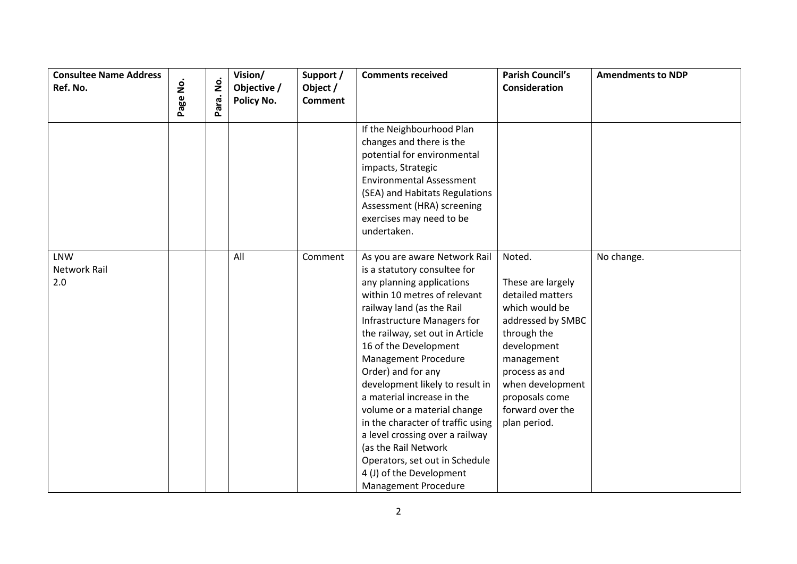| <b>Consultee Name Address</b><br>Ref. No. | Page No. | $\mathbf{\dot{g}}$ | Vision/<br>Objective /<br>Policy No. | Support /<br>Object /<br><b>Comment</b> | <b>Comments received</b>                                                                                                                                                                                                                                                                                                                                                                                                                                                                                                                                                                      | <b>Parish Council's</b><br>Consideration                                                                                                                                                                                       | <b>Amendments to NDP</b> |
|-------------------------------------------|----------|--------------------|--------------------------------------|-----------------------------------------|-----------------------------------------------------------------------------------------------------------------------------------------------------------------------------------------------------------------------------------------------------------------------------------------------------------------------------------------------------------------------------------------------------------------------------------------------------------------------------------------------------------------------------------------------------------------------------------------------|--------------------------------------------------------------------------------------------------------------------------------------------------------------------------------------------------------------------------------|--------------------------|
|                                           |          | Para.              |                                      |                                         |                                                                                                                                                                                                                                                                                                                                                                                                                                                                                                                                                                                               |                                                                                                                                                                                                                                |                          |
|                                           |          |                    |                                      |                                         | If the Neighbourhood Plan<br>changes and there is the<br>potential for environmental<br>impacts, Strategic<br><b>Environmental Assessment</b><br>(SEA) and Habitats Regulations<br>Assessment (HRA) screening<br>exercises may need to be<br>undertaken.                                                                                                                                                                                                                                                                                                                                      |                                                                                                                                                                                                                                |                          |
| <b>LNW</b><br><b>Network Rail</b><br>2.0  |          |                    | All                                  | Comment                                 | As you are aware Network Rail<br>is a statutory consultee for<br>any planning applications<br>within 10 metres of relevant<br>railway land (as the Rail<br>Infrastructure Managers for<br>the railway, set out in Article<br>16 of the Development<br><b>Management Procedure</b><br>Order) and for any<br>development likely to result in<br>a material increase in the<br>volume or a material change<br>in the character of traffic using<br>a level crossing over a railway<br>(as the Rail Network<br>Operators, set out in Schedule<br>4 (J) of the Development<br>Management Procedure | Noted.<br>These are largely<br>detailed matters<br>which would be<br>addressed by SMBC<br>through the<br>development<br>management<br>process as and<br>when development<br>proposals come<br>forward over the<br>plan period. | No change.               |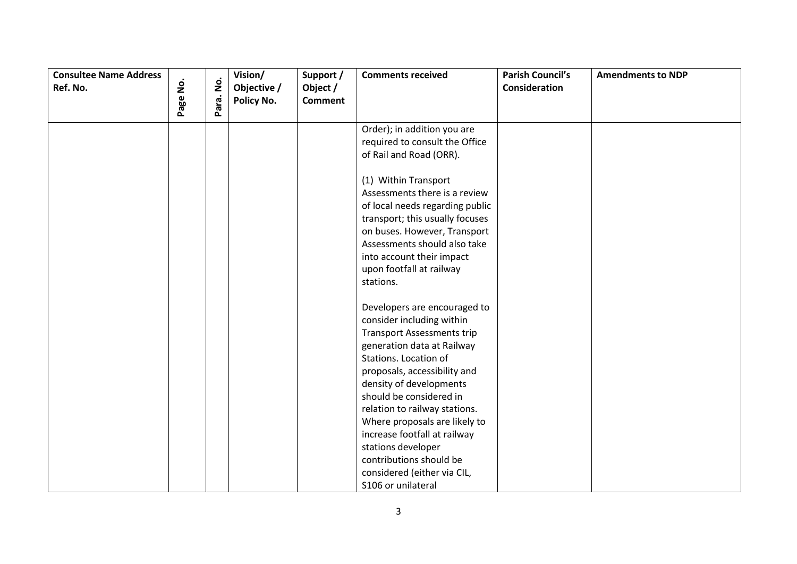| <b>Consultee Name Address</b><br>Ref. No. |          |           | Vision/<br>Objective / | Support /<br>Object / | <b>Comments received</b>                                                                                                                                                                                                                                                                                                                                                                                                                                         | <b>Parish Council's</b><br>Consideration | <b>Amendments to NDP</b> |
|-------------------------------------------|----------|-----------|------------------------|-----------------------|------------------------------------------------------------------------------------------------------------------------------------------------------------------------------------------------------------------------------------------------------------------------------------------------------------------------------------------------------------------------------------------------------------------------------------------------------------------|------------------------------------------|--------------------------|
|                                           | Page No. | Para. No. | Policy No.             | <b>Comment</b>        |                                                                                                                                                                                                                                                                                                                                                                                                                                                                  |                                          |                          |
|                                           |          |           |                        |                       | Order); in addition you are<br>required to consult the Office<br>of Rail and Road (ORR).<br>(1) Within Transport<br>Assessments there is a review<br>of local needs regarding public<br>transport; this usually focuses<br>on buses. However, Transport<br>Assessments should also take<br>into account their impact<br>upon footfall at railway                                                                                                                 |                                          |                          |
|                                           |          |           |                        |                       | stations.<br>Developers are encouraged to<br>consider including within<br><b>Transport Assessments trip</b><br>generation data at Railway<br>Stations. Location of<br>proposals, accessibility and<br>density of developments<br>should be considered in<br>relation to railway stations.<br>Where proposals are likely to<br>increase footfall at railway<br>stations developer<br>contributions should be<br>considered (either via CIL,<br>S106 or unilateral |                                          |                          |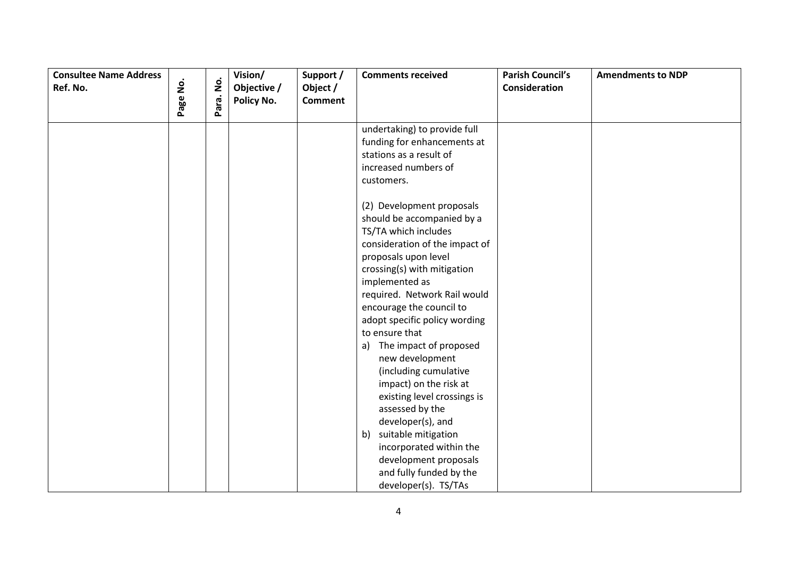| <b>Consultee Name Address</b> |                    |           | Vision/     | Support /      | <b>Comments received</b>                                                                                                                                                                                                                                                                                                                                                                                                                                                                                                                                                                                                                                                                                                        | <b>Parish Council's</b> | <b>Amendments to NDP</b> |
|-------------------------------|--------------------|-----------|-------------|----------------|---------------------------------------------------------------------------------------------------------------------------------------------------------------------------------------------------------------------------------------------------------------------------------------------------------------------------------------------------------------------------------------------------------------------------------------------------------------------------------------------------------------------------------------------------------------------------------------------------------------------------------------------------------------------------------------------------------------------------------|-------------------------|--------------------------|
| Ref. No.                      | $\mathbf{\dot{g}}$ |           | Objective / | Object /       |                                                                                                                                                                                                                                                                                                                                                                                                                                                                                                                                                                                                                                                                                                                                 | Consideration           |                          |
|                               | Page               | Para. No. | Policy No.  | <b>Comment</b> |                                                                                                                                                                                                                                                                                                                                                                                                                                                                                                                                                                                                                                                                                                                                 |                         |                          |
|                               |                    |           |             |                | undertaking) to provide full<br>funding for enhancements at<br>stations as a result of<br>increased numbers of<br>customers.<br>(2) Development proposals<br>should be accompanied by a<br>TS/TA which includes<br>consideration of the impact of<br>proposals upon level<br>crossing(s) with mitigation<br>implemented as<br>required. Network Rail would<br>encourage the council to<br>adopt specific policy wording<br>to ensure that<br>a) The impact of proposed<br>new development<br>(including cumulative<br>impact) on the risk at<br>existing level crossings is<br>assessed by the<br>developer(s), and<br>suitable mitigation<br>b)<br>incorporated within the<br>development proposals<br>and fully funded by the |                         |                          |
|                               |                    |           |             |                | developer(s). TS/TAs                                                                                                                                                                                                                                                                                                                                                                                                                                                                                                                                                                                                                                                                                                            |                         |                          |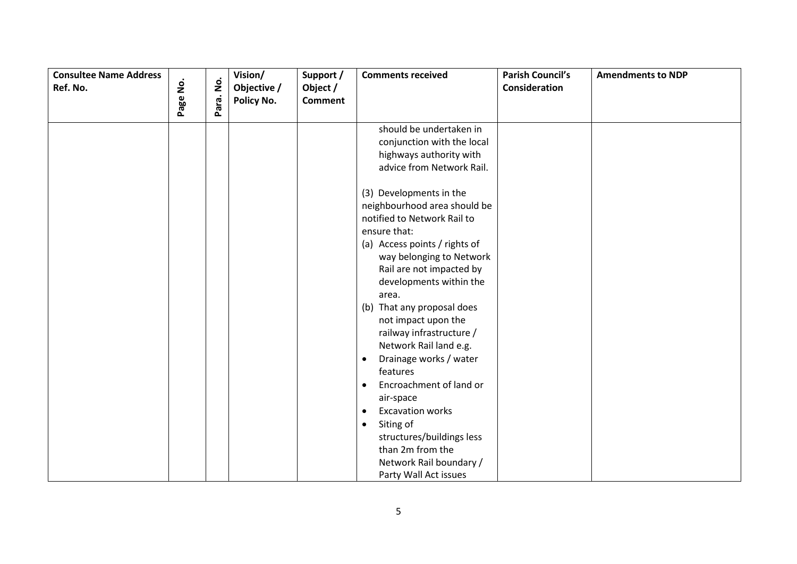| <b>Consultee Name Address</b> |                    |                    | Vision/     | Support /      | <b>Comments received</b>             | <b>Parish Council's</b> | <b>Amendments to NDP</b> |
|-------------------------------|--------------------|--------------------|-------------|----------------|--------------------------------------|-------------------------|--------------------------|
| Ref. No.                      | $\dot{\mathsf{S}}$ | $\dot{\mathsf{p}}$ | Objective / | Object /       |                                      | Consideration           |                          |
|                               | Page               | Para.              | Policy No.  | <b>Comment</b> |                                      |                         |                          |
|                               |                    |                    |             |                |                                      |                         |                          |
|                               |                    |                    |             |                | should be undertaken in              |                         |                          |
|                               |                    |                    |             |                | conjunction with the local           |                         |                          |
|                               |                    |                    |             |                | highways authority with              |                         |                          |
|                               |                    |                    |             |                | advice from Network Rail.            |                         |                          |
|                               |                    |                    |             |                | (3) Developments in the              |                         |                          |
|                               |                    |                    |             |                | neighbourhood area should be         |                         |                          |
|                               |                    |                    |             |                | notified to Network Rail to          |                         |                          |
|                               |                    |                    |             |                | ensure that:                         |                         |                          |
|                               |                    |                    |             |                | (a) Access points / rights of        |                         |                          |
|                               |                    |                    |             |                | way belonging to Network             |                         |                          |
|                               |                    |                    |             |                | Rail are not impacted by             |                         |                          |
|                               |                    |                    |             |                | developments within the              |                         |                          |
|                               |                    |                    |             |                | area.                                |                         |                          |
|                               |                    |                    |             |                | (b) That any proposal does           |                         |                          |
|                               |                    |                    |             |                | not impact upon the                  |                         |                          |
|                               |                    |                    |             |                | railway infrastructure /             |                         |                          |
|                               |                    |                    |             |                | Network Rail land e.g.               |                         |                          |
|                               |                    |                    |             |                | Drainage works / water<br>$\bullet$  |                         |                          |
|                               |                    |                    |             |                | features                             |                         |                          |
|                               |                    |                    |             |                | Encroachment of land or<br>$\bullet$ |                         |                          |
|                               |                    |                    |             |                | air-space                            |                         |                          |
|                               |                    |                    |             |                | <b>Excavation works</b><br>$\bullet$ |                         |                          |
|                               |                    |                    |             |                | Siting of<br>$\bullet$               |                         |                          |
|                               |                    |                    |             |                | structures/buildings less            |                         |                          |
|                               |                    |                    |             |                | than 2m from the                     |                         |                          |
|                               |                    |                    |             |                | Network Rail boundary /              |                         |                          |
|                               |                    |                    |             |                | Party Wall Act issues                |                         |                          |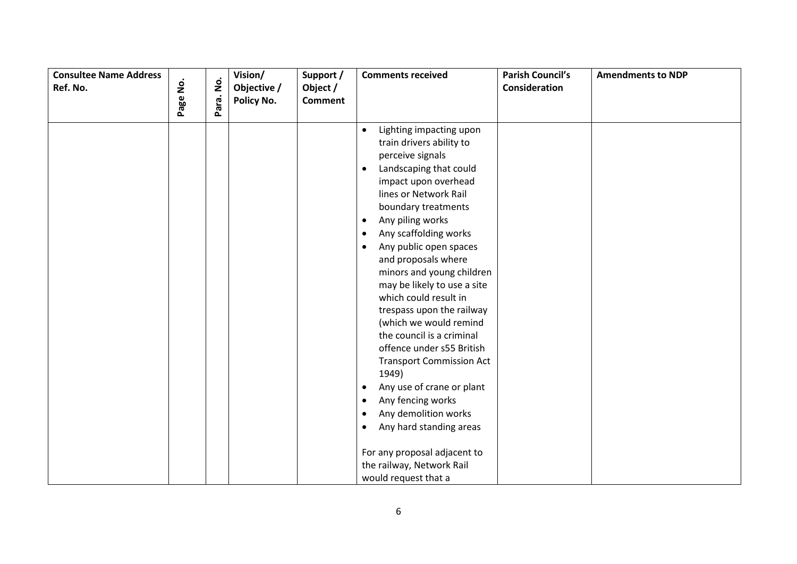| <b>Consultee Name Address</b><br>Ref. No. | Page No. | Para. No. | Vision/<br>Objective /<br>Policy No. | Support /<br>Object /<br><b>Comment</b> | <b>Comments received</b>                                                                                                                                                                                                                                                                                                                                                                                                                                                                                                                                                                                                                                                                                                                                                                                                                 | <b>Parish Council's</b><br>Consideration | <b>Amendments to NDP</b> |
|-------------------------------------------|----------|-----------|--------------------------------------|-----------------------------------------|------------------------------------------------------------------------------------------------------------------------------------------------------------------------------------------------------------------------------------------------------------------------------------------------------------------------------------------------------------------------------------------------------------------------------------------------------------------------------------------------------------------------------------------------------------------------------------------------------------------------------------------------------------------------------------------------------------------------------------------------------------------------------------------------------------------------------------------|------------------------------------------|--------------------------|
|                                           |          |           |                                      |                                         |                                                                                                                                                                                                                                                                                                                                                                                                                                                                                                                                                                                                                                                                                                                                                                                                                                          |                                          |                          |
|                                           |          |           |                                      |                                         | Lighting impacting upon<br>$\bullet$<br>train drivers ability to<br>perceive signals<br>Landscaping that could<br>$\bullet$<br>impact upon overhead<br>lines or Network Rail<br>boundary treatments<br>Any piling works<br>$\bullet$<br>Any scaffolding works<br>$\bullet$<br>Any public open spaces<br>$\bullet$<br>and proposals where<br>minors and young children<br>may be likely to use a site<br>which could result in<br>trespass upon the railway<br>(which we would remind<br>the council is a criminal<br>offence under s55 British<br><b>Transport Commission Act</b><br>1949)<br>Any use of crane or plant<br>$\bullet$<br>Any fencing works<br>$\bullet$<br>Any demolition works<br>$\bullet$<br>Any hard standing areas<br>$\bullet$<br>For any proposal adjacent to<br>the railway, Network Rail<br>would request that a |                                          |                          |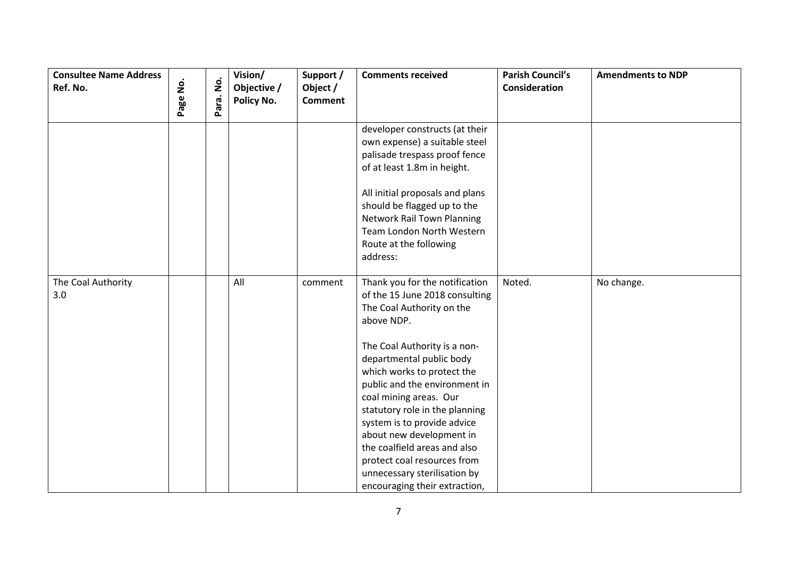| <b>Consultee Name Address</b><br>Ref. No. | $\dot{\mathsf{S}}$<br>Page | $\dot{\mathsf{S}}$<br>Para. | Vision/<br>Objective /<br>Policy No. | Support /<br>Object /<br><b>Comment</b> | <b>Comments received</b>                                                                                                                                                                                                                                                                                                                                                                                                                                                                      | <b>Parish Council's</b><br><b>Consideration</b> | <b>Amendments to NDP</b> |
|-------------------------------------------|----------------------------|-----------------------------|--------------------------------------|-----------------------------------------|-----------------------------------------------------------------------------------------------------------------------------------------------------------------------------------------------------------------------------------------------------------------------------------------------------------------------------------------------------------------------------------------------------------------------------------------------------------------------------------------------|-------------------------------------------------|--------------------------|
|                                           |                            |                             |                                      |                                         | developer constructs (at their<br>own expense) a suitable steel<br>palisade trespass proof fence<br>of at least 1.8m in height.<br>All initial proposals and plans<br>should be flagged up to the<br><b>Network Rail Town Planning</b><br>Team London North Western<br>Route at the following<br>address:                                                                                                                                                                                     |                                                 |                          |
| The Coal Authority<br>3.0                 |                            |                             | All                                  | comment                                 | Thank you for the notification<br>of the 15 June 2018 consulting<br>The Coal Authority on the<br>above NDP.<br>The Coal Authority is a non-<br>departmental public body<br>which works to protect the<br>public and the environment in<br>coal mining areas. Our<br>statutory role in the planning<br>system is to provide advice<br>about new development in<br>the coalfield areas and also<br>protect coal resources from<br>unnecessary sterilisation by<br>encouraging their extraction, | Noted.                                          | No change.               |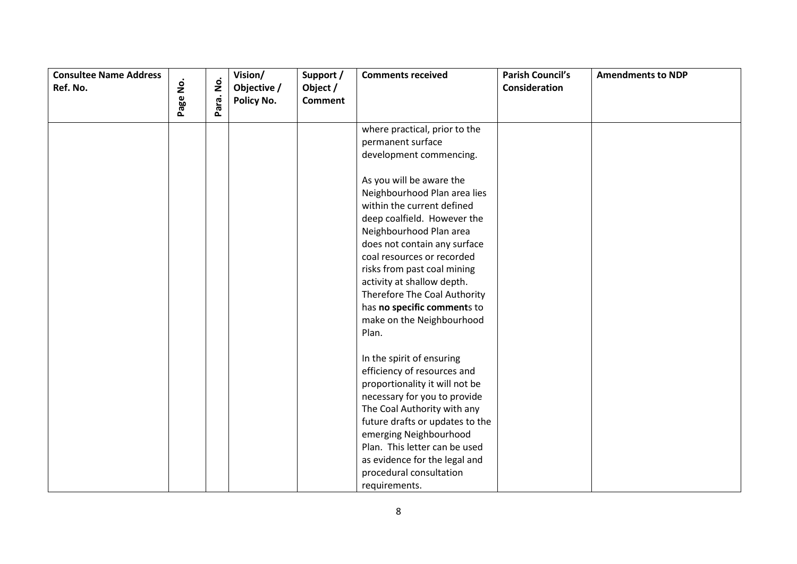| <b>Consultee Name Address</b> |          |                    | Vision/     | Support /      | <b>Comments received</b>                                                                                                                                                                                                                                                                                                                                                                                                                                 | <b>Parish Council's</b> | <b>Amendments to NDP</b> |
|-------------------------------|----------|--------------------|-------------|----------------|----------------------------------------------------------------------------------------------------------------------------------------------------------------------------------------------------------------------------------------------------------------------------------------------------------------------------------------------------------------------------------------------------------------------------------------------------------|-------------------------|--------------------------|
| Ref. No.                      |          | $\dot{\mathsf{g}}$ | Objective / | Object /       |                                                                                                                                                                                                                                                                                                                                                                                                                                                          | Consideration           |                          |
|                               | Page No. | Para.              | Policy No.  | <b>Comment</b> |                                                                                                                                                                                                                                                                                                                                                                                                                                                          |                         |                          |
|                               |          |                    |             |                | where practical, prior to the<br>permanent surface<br>development commencing.<br>As you will be aware the<br>Neighbourhood Plan area lies<br>within the current defined<br>deep coalfield. However the<br>Neighbourhood Plan area<br>does not contain any surface<br>coal resources or recorded<br>risks from past coal mining<br>activity at shallow depth.<br>Therefore The Coal Authority<br>has no specific comments to<br>make on the Neighbourhood |                         |                          |
|                               |          |                    |             |                | Plan.<br>In the spirit of ensuring<br>efficiency of resources and<br>proportionality it will not be<br>necessary for you to provide<br>The Coal Authority with any<br>future drafts or updates to the<br>emerging Neighbourhood<br>Plan. This letter can be used<br>as evidence for the legal and<br>procedural consultation<br>requirements.                                                                                                            |                         |                          |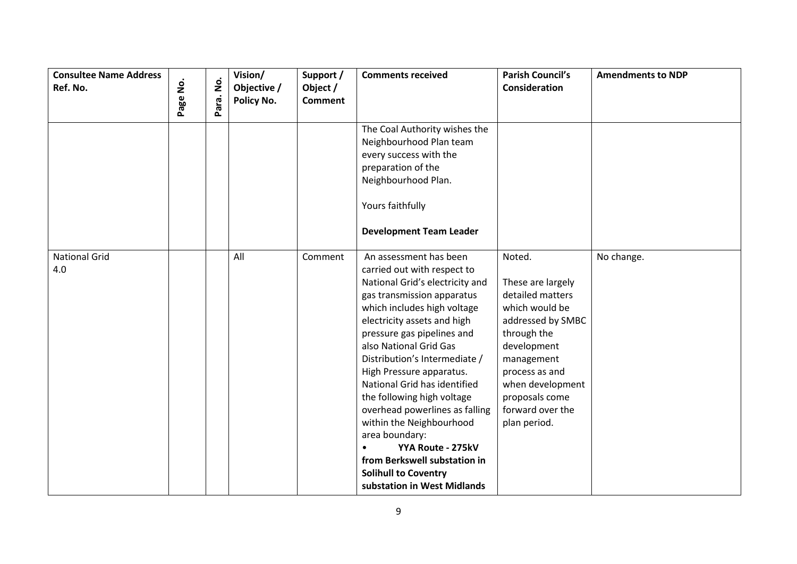| <b>Consultee Name Address</b><br>Ref. No. |          |           | Vision/<br>Objective / | Support /<br>Object / | <b>Comments received</b>                                                                                                                                                                                                                                                                                                                                                                                                                                                                                                                                                   | <b>Parish Council's</b><br><b>Consideration</b>                                                                                                                                                                                | <b>Amendments to NDP</b> |
|-------------------------------------------|----------|-----------|------------------------|-----------------------|----------------------------------------------------------------------------------------------------------------------------------------------------------------------------------------------------------------------------------------------------------------------------------------------------------------------------------------------------------------------------------------------------------------------------------------------------------------------------------------------------------------------------------------------------------------------------|--------------------------------------------------------------------------------------------------------------------------------------------------------------------------------------------------------------------------------|--------------------------|
|                                           | Page No. | Para. No. | Policy No.             | <b>Comment</b>        |                                                                                                                                                                                                                                                                                                                                                                                                                                                                                                                                                                            |                                                                                                                                                                                                                                |                          |
|                                           |          |           |                        |                       | The Coal Authority wishes the<br>Neighbourhood Plan team<br>every success with the<br>preparation of the<br>Neighbourhood Plan.<br>Yours faithfully<br><b>Development Team Leader</b>                                                                                                                                                                                                                                                                                                                                                                                      |                                                                                                                                                                                                                                |                          |
| <b>National Grid</b><br>4.0               |          |           | All                    | Comment               | An assessment has been<br>carried out with respect to<br>National Grid's electricity and<br>gas transmission apparatus<br>which includes high voltage<br>electricity assets and high<br>pressure gas pipelines and<br>also National Grid Gas<br>Distribution's Intermediate /<br>High Pressure apparatus.<br>National Grid has identified<br>the following high voltage<br>overhead powerlines as falling<br>within the Neighbourhood<br>area boundary:<br>YYA Route - 275kV<br>from Berkswell substation in<br><b>Solihull to Coventry</b><br>substation in West Midlands | Noted.<br>These are largely<br>detailed matters<br>which would be<br>addressed by SMBC<br>through the<br>development<br>management<br>process as and<br>when development<br>proposals come<br>forward over the<br>plan period. | No change.               |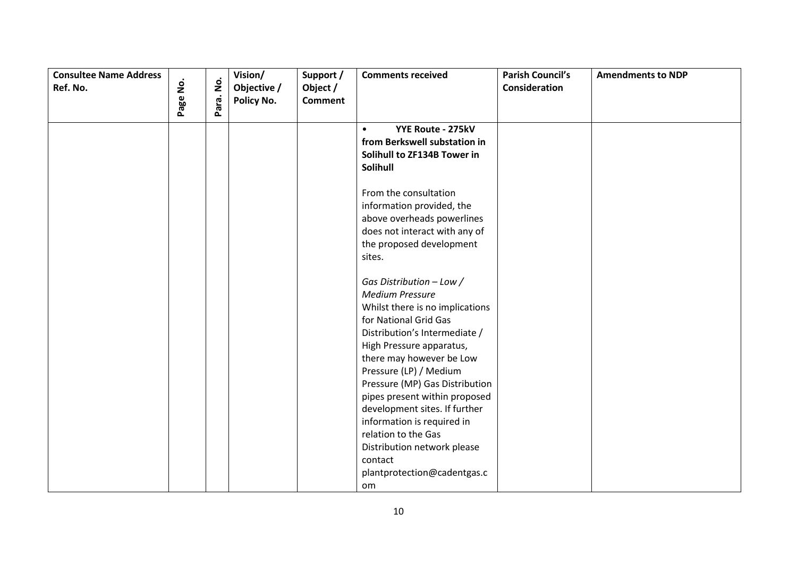| <b>Consultee Name Address</b> |          |           | Vision/     | Support /      | <b>Comments received</b>                                    | <b>Parish Council's</b> | <b>Amendments to NDP</b> |
|-------------------------------|----------|-----------|-------------|----------------|-------------------------------------------------------------|-------------------------|--------------------------|
| Ref. No.                      |          |           | Objective / | Object /       |                                                             | Consideration           |                          |
|                               | Page No. | Para. No. | Policy No.  | <b>Comment</b> |                                                             |                         |                          |
|                               |          |           |             |                | YYE Route - 275kV<br>$\bullet$                              |                         |                          |
|                               |          |           |             |                | from Berkswell substation in                                |                         |                          |
|                               |          |           |             |                | Solihull to ZF134B Tower in                                 |                         |                          |
|                               |          |           |             |                | <b>Solihull</b>                                             |                         |                          |
|                               |          |           |             |                |                                                             |                         |                          |
|                               |          |           |             |                | From the consultation                                       |                         |                          |
|                               |          |           |             |                | information provided, the                                   |                         |                          |
|                               |          |           |             |                | above overheads powerlines<br>does not interact with any of |                         |                          |
|                               |          |           |             |                | the proposed development                                    |                         |                          |
|                               |          |           |             |                | sites.                                                      |                         |                          |
|                               |          |           |             |                |                                                             |                         |                          |
|                               |          |           |             |                | Gas Distribution - Low /                                    |                         |                          |
|                               |          |           |             |                | <b>Medium Pressure</b>                                      |                         |                          |
|                               |          |           |             |                | Whilst there is no implications                             |                         |                          |
|                               |          |           |             |                | for National Grid Gas                                       |                         |                          |
|                               |          |           |             |                | Distribution's Intermediate /                               |                         |                          |
|                               |          |           |             |                | High Pressure apparatus,                                    |                         |                          |
|                               |          |           |             |                | there may however be Low                                    |                         |                          |
|                               |          |           |             |                | Pressure (LP) / Medium                                      |                         |                          |
|                               |          |           |             |                | Pressure (MP) Gas Distribution                              |                         |                          |
|                               |          |           |             |                | pipes present within proposed                               |                         |                          |
|                               |          |           |             |                | development sites. If further                               |                         |                          |
|                               |          |           |             |                | information is required in                                  |                         |                          |
|                               |          |           |             |                | relation to the Gas                                         |                         |                          |
|                               |          |           |             |                | Distribution network please                                 |                         |                          |
|                               |          |           |             |                | contact                                                     |                         |                          |
|                               |          |           |             |                | plantprotection@cadentgas.c                                 |                         |                          |
|                               |          |           |             |                | om                                                          |                         |                          |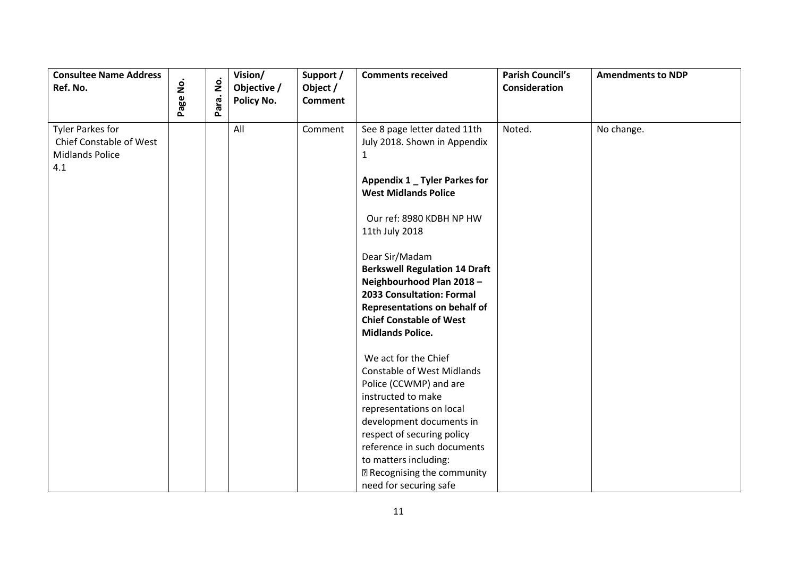| <b>Consultee Name Address</b><br>Ref. No.                                           | Page No. | $\dot{\mathsf{z}}$<br>Para. | Vision/<br>Objective /<br>Policy No. | Support /<br>Object /<br><b>Comment</b> | <b>Comments received</b>                                                                                                                                                                                                                                                                                                                                                                                                                   | <b>Parish Council's</b><br>Consideration | <b>Amendments to NDP</b> |
|-------------------------------------------------------------------------------------|----------|-----------------------------|--------------------------------------|-----------------------------------------|--------------------------------------------------------------------------------------------------------------------------------------------------------------------------------------------------------------------------------------------------------------------------------------------------------------------------------------------------------------------------------------------------------------------------------------------|------------------------------------------|--------------------------|
| <b>Tyler Parkes for</b><br>Chief Constable of West<br><b>Midlands Police</b><br>4.1 |          |                             | All                                  | Comment                                 | See 8 page letter dated 11th<br>July 2018. Shown in Appendix<br>$\mathbf{1}$<br>Appendix 1 _ Tyler Parkes for<br><b>West Midlands Police</b><br>Our ref: 8980 KDBH NP HW<br>11th July 2018<br>Dear Sir/Madam<br><b>Berkswell Regulation 14 Draft</b><br>Neighbourhood Plan 2018 -<br>2033 Consultation: Formal<br><b>Representations on behalf of</b><br><b>Chief Constable of West</b><br><b>Midlands Police.</b><br>We act for the Chief | Noted.                                   | No change.               |
|                                                                                     |          |                             |                                      |                                         | <b>Constable of West Midlands</b><br>Police (CCWMP) and are<br>instructed to make<br>representations on local<br>development documents in<br>respect of securing policy<br>reference in such documents<br>to matters including:<br><sup>2</sup> Recognising the community<br>need for securing safe                                                                                                                                        |                                          |                          |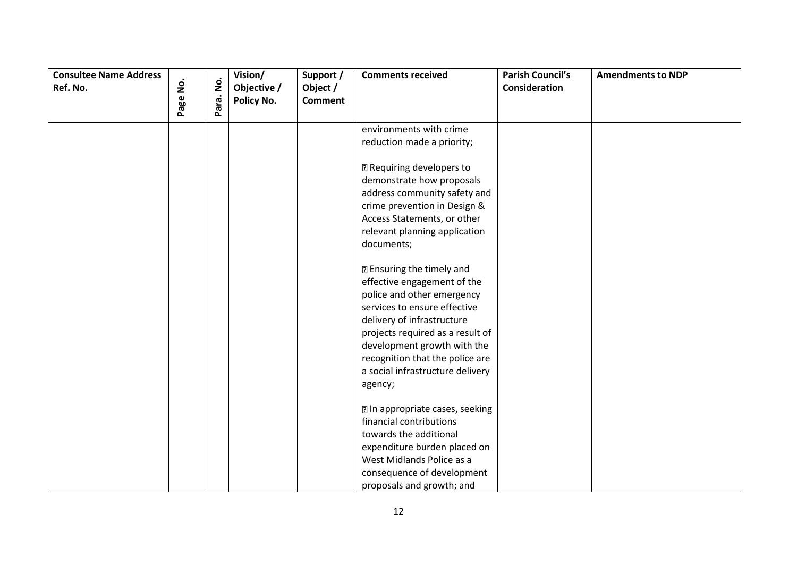| <b>Consultee Name Address</b><br>Ref. No. | Page No. | Para. No. | Vision/<br>Objective /<br>Policy No. | Support /<br>Object /<br><b>Comment</b> | <b>Comments received</b>                                       | <b>Parish Council's</b><br>Consideration | <b>Amendments to NDP</b> |
|-------------------------------------------|----------|-----------|--------------------------------------|-----------------------------------------|----------------------------------------------------------------|------------------------------------------|--------------------------|
|                                           |          |           |                                      |                                         | environments with crime                                        |                                          |                          |
|                                           |          |           |                                      |                                         | reduction made a priority;                                     |                                          |                          |
|                                           |          |           |                                      |                                         | <b>2 Requiring developers to</b>                               |                                          |                          |
|                                           |          |           |                                      |                                         | demonstrate how proposals                                      |                                          |                          |
|                                           |          |           |                                      |                                         | address community safety and                                   |                                          |                          |
|                                           |          |           |                                      |                                         | crime prevention in Design &                                   |                                          |                          |
|                                           |          |           |                                      |                                         | Access Statements, or other                                    |                                          |                          |
|                                           |          |           |                                      |                                         | relevant planning application                                  |                                          |                          |
|                                           |          |           |                                      |                                         | documents;                                                     |                                          |                          |
|                                           |          |           |                                      |                                         | <b>2 Ensuring the timely and</b>                               |                                          |                          |
|                                           |          |           |                                      |                                         | effective engagement of the                                    |                                          |                          |
|                                           |          |           |                                      |                                         | police and other emergency                                     |                                          |                          |
|                                           |          |           |                                      |                                         | services to ensure effective                                   |                                          |                          |
|                                           |          |           |                                      |                                         | delivery of infrastructure                                     |                                          |                          |
|                                           |          |           |                                      |                                         | projects required as a result of                               |                                          |                          |
|                                           |          |           |                                      |                                         | development growth with the<br>recognition that the police are |                                          |                          |
|                                           |          |           |                                      |                                         | a social infrastructure delivery                               |                                          |                          |
|                                           |          |           |                                      |                                         | agency;                                                        |                                          |                          |
|                                           |          |           |                                      |                                         |                                                                |                                          |                          |
|                                           |          |           |                                      |                                         | 7 In appropriate cases, seeking                                |                                          |                          |
|                                           |          |           |                                      |                                         | financial contributions                                        |                                          |                          |
|                                           |          |           |                                      |                                         | towards the additional                                         |                                          |                          |
|                                           |          |           |                                      |                                         | expenditure burden placed on                                   |                                          |                          |
|                                           |          |           |                                      |                                         | West Midlands Police as a                                      |                                          |                          |
|                                           |          |           |                                      |                                         | consequence of development                                     |                                          |                          |
|                                           |          |           |                                      |                                         | proposals and growth; and                                      |                                          |                          |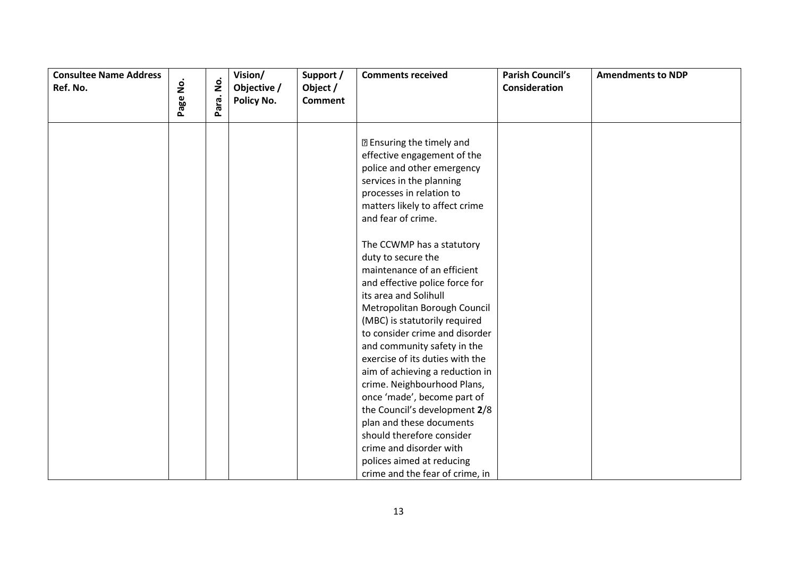| <b>Consultee Name Address</b><br>Ref. No. | $\dot{\mathsf{S}}$ | $\dot{\mathsf{g}}$ | Vision/<br>Objective / | Support /<br>Object / | <b>Comments received</b>                                  | <b>Parish Council's</b><br>Consideration | <b>Amendments to NDP</b> |
|-------------------------------------------|--------------------|--------------------|------------------------|-----------------------|-----------------------------------------------------------|------------------------------------------|--------------------------|
|                                           | Page               | Para.              | Policy No.             | <b>Comment</b>        |                                                           |                                          |                          |
|                                           |                    |                    |                        |                       |                                                           |                                          |                          |
|                                           |                    |                    |                        |                       | <b>2 Ensuring the timely and</b>                          |                                          |                          |
|                                           |                    |                    |                        |                       | effective engagement of the<br>police and other emergency |                                          |                          |
|                                           |                    |                    |                        |                       | services in the planning                                  |                                          |                          |
|                                           |                    |                    |                        |                       | processes in relation to                                  |                                          |                          |
|                                           |                    |                    |                        |                       | matters likely to affect crime                            |                                          |                          |
|                                           |                    |                    |                        |                       | and fear of crime.                                        |                                          |                          |
|                                           |                    |                    |                        |                       |                                                           |                                          |                          |
|                                           |                    |                    |                        |                       | The CCWMP has a statutory                                 |                                          |                          |
|                                           |                    |                    |                        |                       | duty to secure the                                        |                                          |                          |
|                                           |                    |                    |                        |                       | maintenance of an efficient                               |                                          |                          |
|                                           |                    |                    |                        |                       | and effective police force for<br>its area and Solihull   |                                          |                          |
|                                           |                    |                    |                        |                       | Metropolitan Borough Council                              |                                          |                          |
|                                           |                    |                    |                        |                       | (MBC) is statutorily required                             |                                          |                          |
|                                           |                    |                    |                        |                       | to consider crime and disorder                            |                                          |                          |
|                                           |                    |                    |                        |                       | and community safety in the                               |                                          |                          |
|                                           |                    |                    |                        |                       | exercise of its duties with the                           |                                          |                          |
|                                           |                    |                    |                        |                       | aim of achieving a reduction in                           |                                          |                          |
|                                           |                    |                    |                        |                       | crime. Neighbourhood Plans,                               |                                          |                          |
|                                           |                    |                    |                        |                       | once 'made', become part of                               |                                          |                          |
|                                           |                    |                    |                        |                       | the Council's development 2/8                             |                                          |                          |
|                                           |                    |                    |                        |                       | plan and these documents<br>should therefore consider     |                                          |                          |
|                                           |                    |                    |                        |                       | crime and disorder with                                   |                                          |                          |
|                                           |                    |                    |                        |                       | polices aimed at reducing                                 |                                          |                          |
|                                           |                    |                    |                        |                       | crime and the fear of crime, in                           |                                          |                          |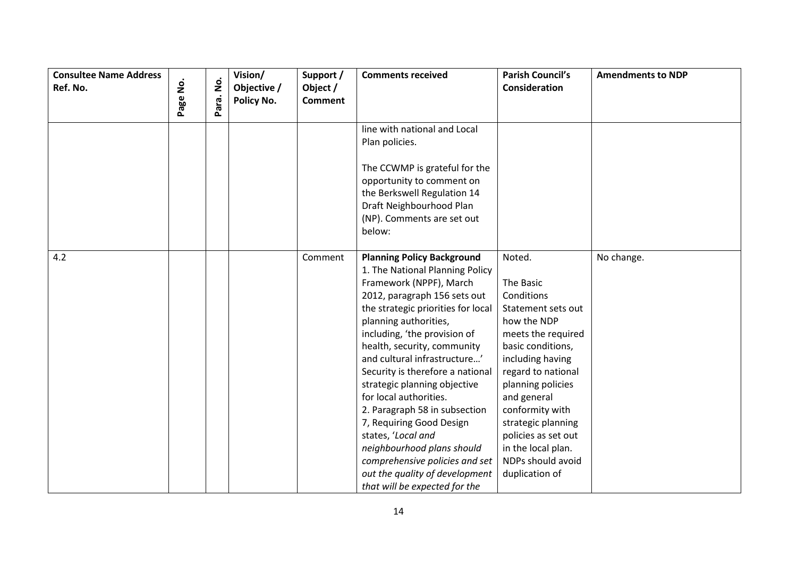| <b>Consultee Name Address</b><br>Ref. No. |          | $\mathbf{\dot{g}}$ | Vision/<br>Objective / | Support /<br>Object / | <b>Comments received</b>                                                                                                                                                                                                                                                                                                                                                                                                                                                                                                                                                                                          | <b>Parish Council's</b><br>Consideration                                                                                                                                                                                                                                                                                     | <b>Amendments to NDP</b> |
|-------------------------------------------|----------|--------------------|------------------------|-----------------------|-------------------------------------------------------------------------------------------------------------------------------------------------------------------------------------------------------------------------------------------------------------------------------------------------------------------------------------------------------------------------------------------------------------------------------------------------------------------------------------------------------------------------------------------------------------------------------------------------------------------|------------------------------------------------------------------------------------------------------------------------------------------------------------------------------------------------------------------------------------------------------------------------------------------------------------------------------|--------------------------|
|                                           | Page No. | Para.              | Policy No.             | <b>Comment</b>        |                                                                                                                                                                                                                                                                                                                                                                                                                                                                                                                                                                                                                   |                                                                                                                                                                                                                                                                                                                              |                          |
|                                           |          |                    |                        |                       | line with national and Local<br>Plan policies.                                                                                                                                                                                                                                                                                                                                                                                                                                                                                                                                                                    |                                                                                                                                                                                                                                                                                                                              |                          |
|                                           |          |                    |                        |                       | The CCWMP is grateful for the<br>opportunity to comment on<br>the Berkswell Regulation 14<br>Draft Neighbourhood Plan<br>(NP). Comments are set out<br>below:                                                                                                                                                                                                                                                                                                                                                                                                                                                     |                                                                                                                                                                                                                                                                                                                              |                          |
| 4.2                                       |          |                    |                        | Comment               | <b>Planning Policy Background</b><br>1. The National Planning Policy<br>Framework (NPPF), March<br>2012, paragraph 156 sets out<br>the strategic priorities for local<br>planning authorities,<br>including, 'the provision of<br>health, security, community<br>and cultural infrastructure'<br>Security is therefore a national<br>strategic planning objective<br>for local authorities.<br>2. Paragraph 58 in subsection<br>7, Requiring Good Design<br>states, 'Local and<br>neighbourhood plans should<br>comprehensive policies and set<br>out the quality of development<br>that will be expected for the | Noted.<br>The Basic<br>Conditions<br>Statement sets out<br>how the NDP<br>meets the required<br>basic conditions,<br>including having<br>regard to national<br>planning policies<br>and general<br>conformity with<br>strategic planning<br>policies as set out<br>in the local plan.<br>NDPs should avoid<br>duplication of | No change.               |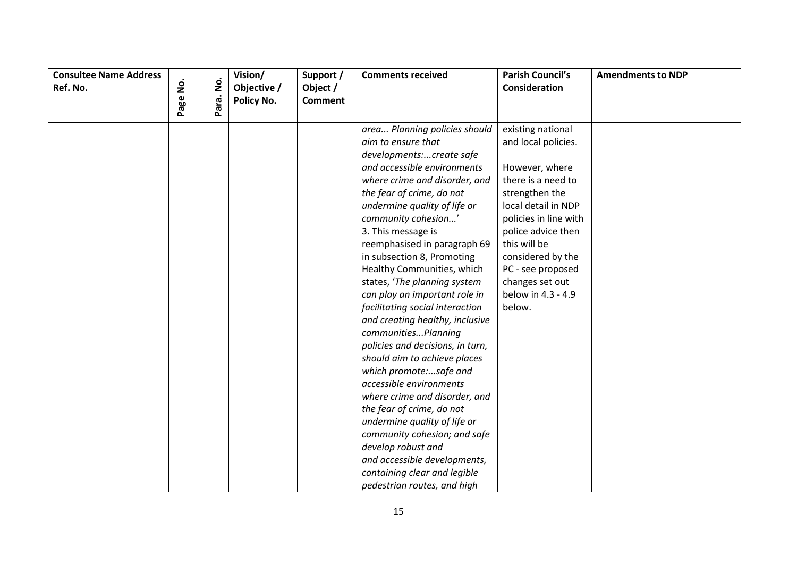| <b>Consultee Name Address</b> |                    |           | Vision/     | Support /      | <b>Comments received</b>                                                                                                                                                                                                                                                                                                                                                                                                                                                                                                               | <b>Parish Council's</b>                                                                                                                                                                                                            | <b>Amendments to NDP</b> |
|-------------------------------|--------------------|-----------|-------------|----------------|----------------------------------------------------------------------------------------------------------------------------------------------------------------------------------------------------------------------------------------------------------------------------------------------------------------------------------------------------------------------------------------------------------------------------------------------------------------------------------------------------------------------------------------|------------------------------------------------------------------------------------------------------------------------------------------------------------------------------------------------------------------------------------|--------------------------|
| Ref. No.                      | $\dot{\mathsf{S}}$ |           | Objective / | Object /       |                                                                                                                                                                                                                                                                                                                                                                                                                                                                                                                                        | Consideration                                                                                                                                                                                                                      |                          |
|                               | Page               | Para. No. | Policy No.  | <b>Comment</b> |                                                                                                                                                                                                                                                                                                                                                                                                                                                                                                                                        |                                                                                                                                                                                                                                    |                          |
|                               |                    |           |             |                | area Planning policies should<br>aim to ensure that<br>developments:create safe<br>and accessible environments<br>where crime and disorder, and<br>the fear of crime, do not<br>undermine quality of life or<br>community cohesion'<br>3. This message is<br>reemphasised in paragraph 69<br>in subsection 8, Promoting<br>Healthy Communities, which                                                                                                                                                                                  | existing national<br>and local policies.<br>However, where<br>there is a need to<br>strengthen the<br>local detail in NDP<br>policies in line with<br>police advice then<br>this will be<br>considered by the<br>PC - see proposed |                          |
|                               |                    |           |             |                | states, 'The planning system<br>can play an important role in<br>facilitating social interaction<br>and creating healthy, inclusive<br>communitiesPlanning<br>policies and decisions, in turn,<br>should aim to achieve places<br>which promote:safe and<br>accessible environments<br>where crime and disorder, and<br>the fear of crime, do not<br>undermine quality of life or<br>community cohesion; and safe<br>develop robust and<br>and accessible developments,<br>containing clear and legible<br>pedestrian routes, and high | changes set out<br>below in 4.3 - 4.9<br>below.                                                                                                                                                                                    |                          |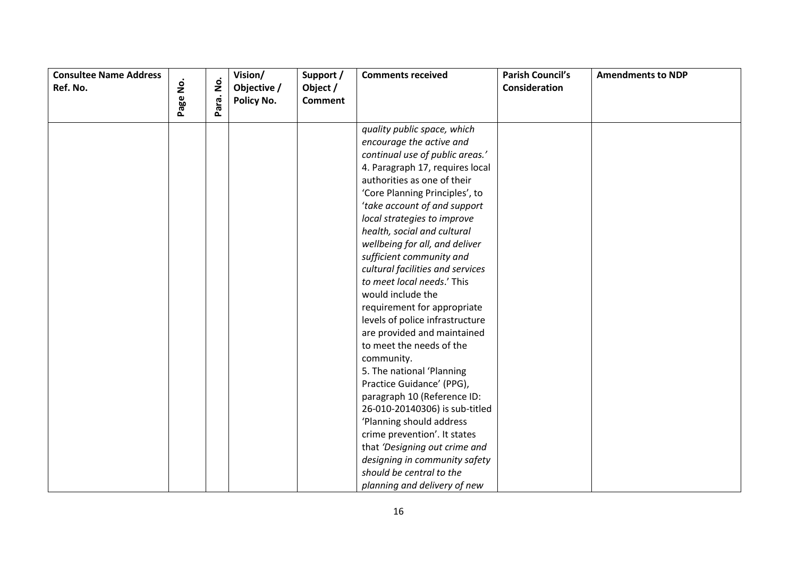| <b>Consultee Name Address</b><br>Ref. No. | $\dot{\mathsf{p}}$ |           | Vision/<br>Objective / | Support /<br>Object / | <b>Comments received</b>                                                                                                                                                                                                                                                                                                                                                                                                                                                                                                                                                                                                                                                                                                                                                                                                                                                                                          | <b>Parish Council's</b><br>Consideration | <b>Amendments to NDP</b> |
|-------------------------------------------|--------------------|-----------|------------------------|-----------------------|-------------------------------------------------------------------------------------------------------------------------------------------------------------------------------------------------------------------------------------------------------------------------------------------------------------------------------------------------------------------------------------------------------------------------------------------------------------------------------------------------------------------------------------------------------------------------------------------------------------------------------------------------------------------------------------------------------------------------------------------------------------------------------------------------------------------------------------------------------------------------------------------------------------------|------------------------------------------|--------------------------|
|                                           | Page               | Para. No. | Policy No.             | <b>Comment</b>        |                                                                                                                                                                                                                                                                                                                                                                                                                                                                                                                                                                                                                                                                                                                                                                                                                                                                                                                   |                                          |                          |
|                                           |                    |           |                        |                       | quality public space, which<br>encourage the active and<br>continual use of public areas.'<br>4. Paragraph 17, requires local<br>authorities as one of their<br>'Core Planning Principles', to<br>'take account of and support<br>local strategies to improve<br>health, social and cultural<br>wellbeing for all, and deliver<br>sufficient community and<br>cultural facilities and services<br>to meet local needs.' This<br>would include the<br>requirement for appropriate<br>levels of police infrastructure<br>are provided and maintained<br>to meet the needs of the<br>community.<br>5. The national 'Planning<br>Practice Guidance' (PPG),<br>paragraph 10 (Reference ID:<br>26-010-20140306) is sub-titled<br>'Planning should address<br>crime prevention'. It states<br>that 'Designing out crime and<br>designing in community safety<br>should be central to the<br>planning and delivery of new |                                          |                          |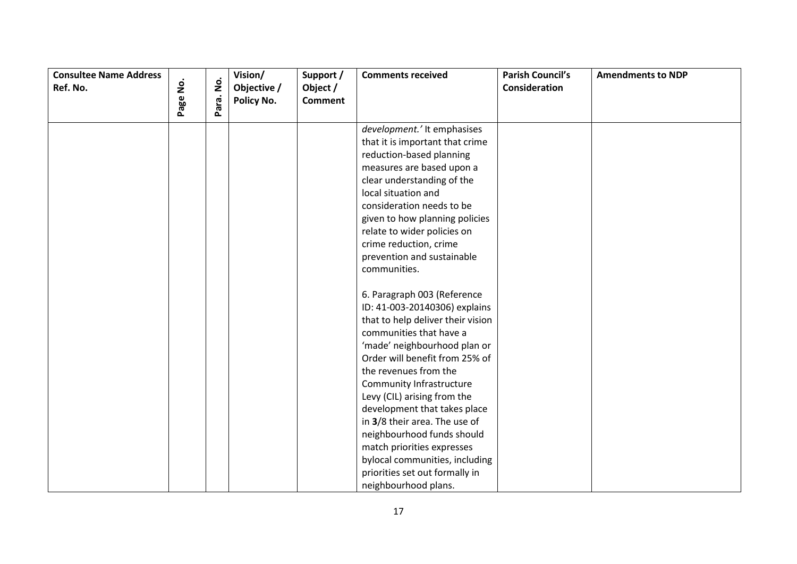| <b>Consultee Name Address</b><br>Ref. No. | Page No. | $\dot{\mathsf{g}}$ | Vision/<br>Objective /<br>Policy No. | Support /<br>Object /<br><b>Comment</b> | <b>Comments received</b>          | <b>Parish Council's</b><br>Consideration | <b>Amendments to NDP</b> |
|-------------------------------------------|----------|--------------------|--------------------------------------|-----------------------------------------|-----------------------------------|------------------------------------------|--------------------------|
|                                           |          | Para.              |                                      |                                         |                                   |                                          |                          |
|                                           |          |                    |                                      |                                         | development.' It emphasises       |                                          |                          |
|                                           |          |                    |                                      |                                         | that it is important that crime   |                                          |                          |
|                                           |          |                    |                                      |                                         | reduction-based planning          |                                          |                          |
|                                           |          |                    |                                      |                                         | measures are based upon a         |                                          |                          |
|                                           |          |                    |                                      |                                         | clear understanding of the        |                                          |                          |
|                                           |          |                    |                                      |                                         | local situation and               |                                          |                          |
|                                           |          |                    |                                      |                                         | consideration needs to be         |                                          |                          |
|                                           |          |                    |                                      |                                         | given to how planning policies    |                                          |                          |
|                                           |          |                    |                                      |                                         | relate to wider policies on       |                                          |                          |
|                                           |          |                    |                                      |                                         | crime reduction, crime            |                                          |                          |
|                                           |          |                    |                                      |                                         | prevention and sustainable        |                                          |                          |
|                                           |          |                    |                                      |                                         | communities.                      |                                          |                          |
|                                           |          |                    |                                      |                                         | 6. Paragraph 003 (Reference       |                                          |                          |
|                                           |          |                    |                                      |                                         | ID: 41-003-20140306) explains     |                                          |                          |
|                                           |          |                    |                                      |                                         | that to help deliver their vision |                                          |                          |
|                                           |          |                    |                                      |                                         | communities that have a           |                                          |                          |
|                                           |          |                    |                                      |                                         | 'made' neighbourhood plan or      |                                          |                          |
|                                           |          |                    |                                      |                                         | Order will benefit from 25% of    |                                          |                          |
|                                           |          |                    |                                      |                                         | the revenues from the             |                                          |                          |
|                                           |          |                    |                                      |                                         | Community Infrastructure          |                                          |                          |
|                                           |          |                    |                                      |                                         | Levy (CIL) arising from the       |                                          |                          |
|                                           |          |                    |                                      |                                         | development that takes place      |                                          |                          |
|                                           |          |                    |                                      |                                         | in 3/8 their area. The use of     |                                          |                          |
|                                           |          |                    |                                      |                                         | neighbourhood funds should        |                                          |                          |
|                                           |          |                    |                                      |                                         | match priorities expresses        |                                          |                          |
|                                           |          |                    |                                      |                                         | bylocal communities, including    |                                          |                          |
|                                           |          |                    |                                      |                                         | priorities set out formally in    |                                          |                          |
|                                           |          |                    |                                      |                                         | neighbourhood plans.              |                                          |                          |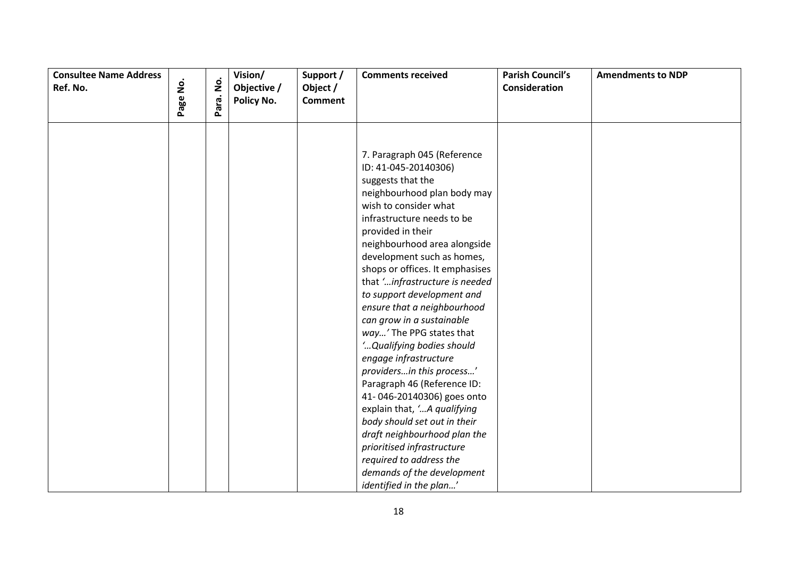| <b>Consultee Name Address</b><br>Ref. No. | $\mathbf{\dot{g}}$ | $\mathbf{\dot{g}}$ | Vision/<br>Objective / | Support /<br>Object / | <b>Comments received</b>                                                                                                                                                                                                                                                                                                                                                                                                                                                                                                                                                                                                                                                                     | <b>Parish Council's</b><br>Consideration | <b>Amendments to NDP</b> |
|-------------------------------------------|--------------------|--------------------|------------------------|-----------------------|----------------------------------------------------------------------------------------------------------------------------------------------------------------------------------------------------------------------------------------------------------------------------------------------------------------------------------------------------------------------------------------------------------------------------------------------------------------------------------------------------------------------------------------------------------------------------------------------------------------------------------------------------------------------------------------------|------------------------------------------|--------------------------|
|                                           |                    |                    |                        |                       |                                                                                                                                                                                                                                                                                                                                                                                                                                                                                                                                                                                                                                                                                              |                                          |                          |
|                                           | Page               | Para.              | Policy No.             | <b>Comment</b>        | 7. Paragraph 045 (Reference<br>ID: 41-045-20140306)<br>suggests that the<br>neighbourhood plan body may<br>wish to consider what<br>infrastructure needs to be<br>provided in their<br>neighbourhood area alongside<br>development such as homes,<br>shops or offices. It emphasises<br>that 'infrastructure is needed<br>to support development and<br>ensure that a neighbourhood<br>can grow in a sustainable<br>way' The PPG states that<br>' Qualifying bodies should<br>engage infrastructure<br>providersin this process'<br>Paragraph 46 (Reference ID:<br>41-046-20140306) goes onto<br>explain that, 'A qualifying<br>body should set out in their<br>draft neighbourhood plan the |                                          |                          |
|                                           |                    |                    |                        |                       | prioritised infrastructure<br>required to address the                                                                                                                                                                                                                                                                                                                                                                                                                                                                                                                                                                                                                                        |                                          |                          |
|                                           |                    |                    |                        |                       |                                                                                                                                                                                                                                                                                                                                                                                                                                                                                                                                                                                                                                                                                              |                                          |                          |
|                                           |                    |                    |                        |                       | demands of the development                                                                                                                                                                                                                                                                                                                                                                                                                                                                                                                                                                                                                                                                   |                                          |                          |
|                                           |                    |                    |                        |                       | identified in the plan'                                                                                                                                                                                                                                                                                                                                                                                                                                                                                                                                                                                                                                                                      |                                          |                          |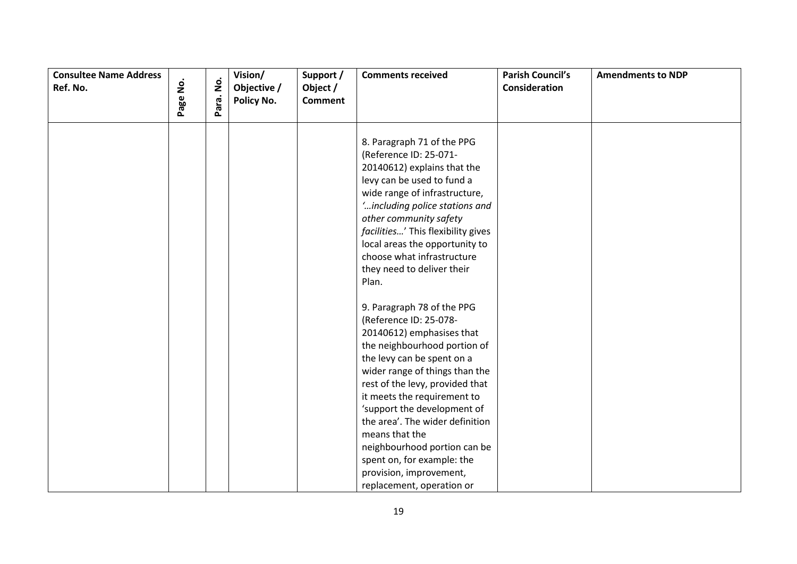| <b>Consultee Name Address</b><br>Ref. No. | $\mathbf{\dot{g}}$<br>Page | Para. No. | Vision/<br>Objective /<br>Policy No. | Support /<br>Object /<br><b>Comment</b> | <b>Comments received</b>                                                                                                                                                                                                                                                                                                                                                                                                                                      | <b>Parish Council's</b><br>Consideration | <b>Amendments to NDP</b> |
|-------------------------------------------|----------------------------|-----------|--------------------------------------|-----------------------------------------|---------------------------------------------------------------------------------------------------------------------------------------------------------------------------------------------------------------------------------------------------------------------------------------------------------------------------------------------------------------------------------------------------------------------------------------------------------------|------------------------------------------|--------------------------|
|                                           |                            |           |                                      |                                         | 8. Paragraph 71 of the PPG<br>(Reference ID: 25-071-<br>20140612) explains that the<br>levy can be used to fund a<br>wide range of infrastructure,<br>' including police stations and<br>other community safety<br>facilities' This flexibility gives<br>local areas the opportunity to<br>choose what infrastructure<br>they need to deliver their<br>Plan.                                                                                                  |                                          |                          |
|                                           |                            |           |                                      |                                         | 9. Paragraph 78 of the PPG<br>(Reference ID: 25-078-<br>20140612) emphasises that<br>the neighbourhood portion of<br>the levy can be spent on a<br>wider range of things than the<br>rest of the levy, provided that<br>it meets the requirement to<br>'support the development of<br>the area'. The wider definition<br>means that the<br>neighbourhood portion can be<br>spent on, for example: the<br>provision, improvement,<br>replacement, operation or |                                          |                          |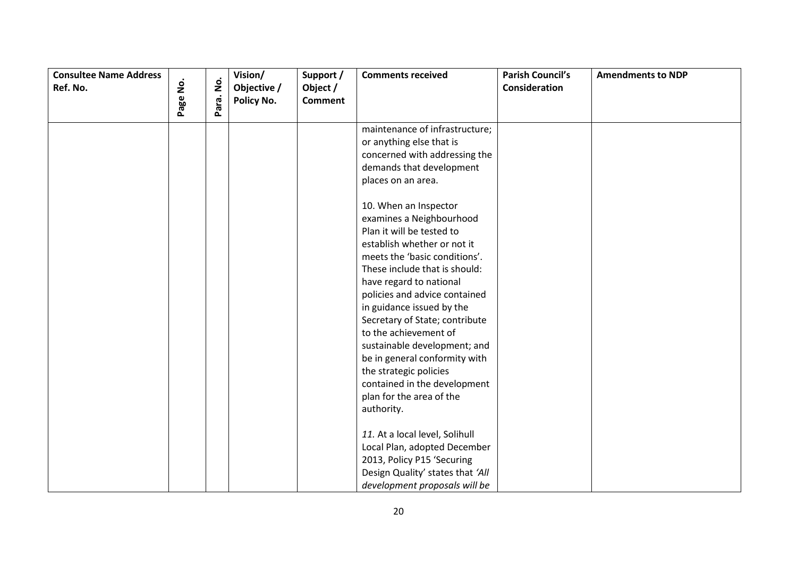| <b>Consultee Name Address</b> |                    |       | Vision/     | Support /      | <b>Comments received</b>                                                                                                                                                                                                                                                                                                                                                                                                                                                                                                                                                                                                                                  | <b>Parish Council's</b> | <b>Amendments to NDP</b> |
|-------------------------------|--------------------|-------|-------------|----------------|-----------------------------------------------------------------------------------------------------------------------------------------------------------------------------------------------------------------------------------------------------------------------------------------------------------------------------------------------------------------------------------------------------------------------------------------------------------------------------------------------------------------------------------------------------------------------------------------------------------------------------------------------------------|-------------------------|--------------------------|
| Ref. No.                      | $\dot{\mathsf{p}}$ | ġ     | Objective / | Object /       |                                                                                                                                                                                                                                                                                                                                                                                                                                                                                                                                                                                                                                                           | <b>Consideration</b>    |                          |
|                               | Page               | Para. | Policy No.  | <b>Comment</b> |                                                                                                                                                                                                                                                                                                                                                                                                                                                                                                                                                                                                                                                           |                         |                          |
|                               |                    |       |             |                | maintenance of infrastructure;<br>or anything else that is<br>concerned with addressing the<br>demands that development<br>places on an area.<br>10. When an Inspector<br>examines a Neighbourhood<br>Plan it will be tested to<br>establish whether or not it<br>meets the 'basic conditions'.<br>These include that is should:<br>have regard to national<br>policies and advice contained<br>in guidance issued by the<br>Secretary of State; contribute<br>to the achievement of<br>sustainable development; and<br>be in general conformity with<br>the strategic policies<br>contained in the development<br>plan for the area of the<br>authority. |                         |                          |
|                               |                    |       |             |                | 11. At a local level, Solihull<br>Local Plan, adopted December<br>2013, Policy P15 'Securing<br>Design Quality' states that 'All<br>development proposals will be                                                                                                                                                                                                                                                                                                                                                                                                                                                                                         |                         |                          |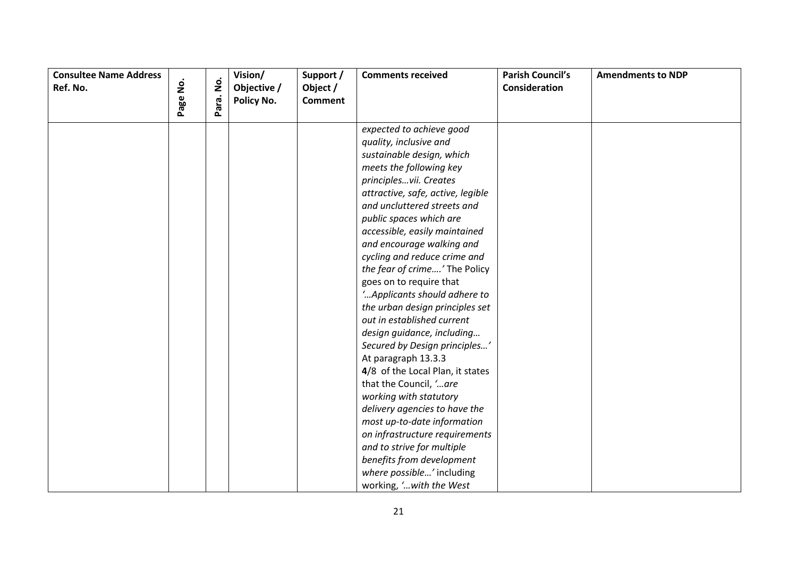| <b>Consultee Name Address</b><br>Ref. No. |          | $\mathbf{\dot{g}}$ | Vision/<br>Objective / | Support /<br>Object / | <b>Comments received</b>          | <b>Parish Council's</b><br>Consideration | <b>Amendments to NDP</b> |
|-------------------------------------------|----------|--------------------|------------------------|-----------------------|-----------------------------------|------------------------------------------|--------------------------|
|                                           | Page No. | Para.              | Policy No.             | <b>Comment</b>        |                                   |                                          |                          |
|                                           |          |                    |                        |                       |                                   |                                          |                          |
|                                           |          |                    |                        |                       | expected to achieve good          |                                          |                          |
|                                           |          |                    |                        |                       | quality, inclusive and            |                                          |                          |
|                                           |          |                    |                        |                       | sustainable design, which         |                                          |                          |
|                                           |          |                    |                        |                       | meets the following key           |                                          |                          |
|                                           |          |                    |                        |                       | principlesvii. Creates            |                                          |                          |
|                                           |          |                    |                        |                       | attractive, safe, active, legible |                                          |                          |
|                                           |          |                    |                        |                       | and uncluttered streets and       |                                          |                          |
|                                           |          |                    |                        |                       | public spaces which are           |                                          |                          |
|                                           |          |                    |                        |                       | accessible, easily maintained     |                                          |                          |
|                                           |          |                    |                        |                       | and encourage walking and         |                                          |                          |
|                                           |          |                    |                        |                       | cycling and reduce crime and      |                                          |                          |
|                                           |          |                    |                        |                       | the fear of crime' The Policy     |                                          |                          |
|                                           |          |                    |                        |                       | goes on to require that           |                                          |                          |
|                                           |          |                    |                        |                       | 'Applicants should adhere to      |                                          |                          |
|                                           |          |                    |                        |                       | the urban design principles set   |                                          |                          |
|                                           |          |                    |                        |                       | out in established current        |                                          |                          |
|                                           |          |                    |                        |                       | design guidance, including        |                                          |                          |
|                                           |          |                    |                        |                       | Secured by Design principles'     |                                          |                          |
|                                           |          |                    |                        |                       | At paragraph 13.3.3               |                                          |                          |
|                                           |          |                    |                        |                       | 4/8 of the Local Plan, it states  |                                          |                          |
|                                           |          |                    |                        |                       | that the Council, 'are            |                                          |                          |
|                                           |          |                    |                        |                       | working with statutory            |                                          |                          |
|                                           |          |                    |                        |                       | delivery agencies to have the     |                                          |                          |
|                                           |          |                    |                        |                       | most up-to-date information       |                                          |                          |
|                                           |          |                    |                        |                       | on infrastructure requirements    |                                          |                          |
|                                           |          |                    |                        |                       | and to strive for multiple        |                                          |                          |
|                                           |          |                    |                        |                       | benefits from development         |                                          |                          |
|                                           |          |                    |                        |                       | where possible' including         |                                          |                          |
|                                           |          |                    |                        |                       | working, ' with the West          |                                          |                          |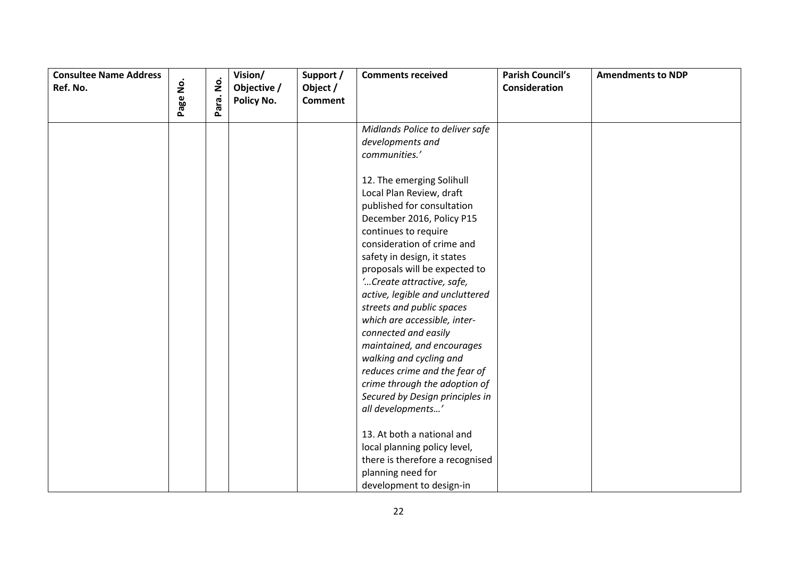| <b>Consultee Name Address</b> | $\mathbf{\dot{g}}$ | $\mathbf{\dot{g}}$ | Vision/     | Support /                  | <b>Comments received</b>        | <b>Parish Council's</b> | <b>Amendments to NDP</b> |
|-------------------------------|--------------------|--------------------|-------------|----------------------------|---------------------------------|-------------------------|--------------------------|
| Ref. No.                      |                    |                    | Objective / | Object /<br><b>Comment</b> |                                 | Consideration           |                          |
|                               | Page               | Para.              | Policy No.  |                            |                                 |                         |                          |
|                               |                    |                    |             |                            | Midlands Police to deliver safe |                         |                          |
|                               |                    |                    |             |                            | developments and                |                         |                          |
|                               |                    |                    |             |                            | communities.'                   |                         |                          |
|                               |                    |                    |             |                            | 12. The emerging Solihull       |                         |                          |
|                               |                    |                    |             |                            | Local Plan Review, draft        |                         |                          |
|                               |                    |                    |             |                            | published for consultation      |                         |                          |
|                               |                    |                    |             |                            | December 2016, Policy P15       |                         |                          |
|                               |                    |                    |             |                            | continues to require            |                         |                          |
|                               |                    |                    |             |                            | consideration of crime and      |                         |                          |
|                               |                    |                    |             |                            | safety in design, it states     |                         |                          |
|                               |                    |                    |             |                            | proposals will be expected to   |                         |                          |
|                               |                    |                    |             |                            | 'Create attractive, safe,       |                         |                          |
|                               |                    |                    |             |                            | active, legible and uncluttered |                         |                          |
|                               |                    |                    |             |                            | streets and public spaces       |                         |                          |
|                               |                    |                    |             |                            | which are accessible, inter-    |                         |                          |
|                               |                    |                    |             |                            | connected and easily            |                         |                          |
|                               |                    |                    |             |                            | maintained, and encourages      |                         |                          |
|                               |                    |                    |             |                            | walking and cycling and         |                         |                          |
|                               |                    |                    |             |                            | reduces crime and the fear of   |                         |                          |
|                               |                    |                    |             |                            | crime through the adoption of   |                         |                          |
|                               |                    |                    |             |                            | Secured by Design principles in |                         |                          |
|                               |                    |                    |             |                            | all developments'               |                         |                          |
|                               |                    |                    |             |                            | 13. At both a national and      |                         |                          |
|                               |                    |                    |             |                            | local planning policy level,    |                         |                          |
|                               |                    |                    |             |                            | there is therefore a recognised |                         |                          |
|                               |                    |                    |             |                            | planning need for               |                         |                          |
|                               |                    |                    |             |                            |                                 |                         |                          |
|                               |                    |                    |             |                            | development to design-in        |                         |                          |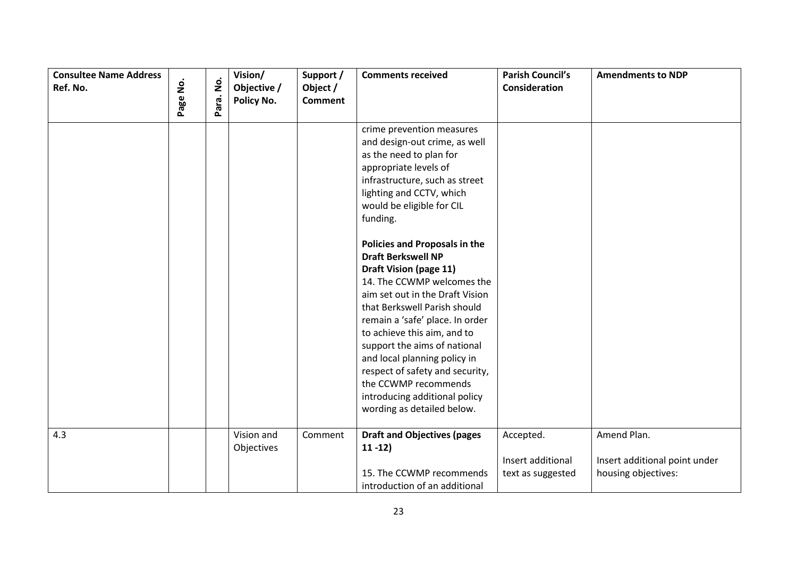| <b>Consultee Name Address</b><br>Ref. No. | $\mathbf{\dot{g}}$ | $\mathbf{\dot{g}}$ | Vision/<br>Objective /<br>Policy No. | Support /<br>Object /<br><b>Comment</b> | <b>Comments received</b>                                                                                                                                                                                                                                                                                                                                                                   | <b>Parish Council's</b><br><b>Consideration</b> | <b>Amendments to NDP</b>                             |
|-------------------------------------------|--------------------|--------------------|--------------------------------------|-----------------------------------------|--------------------------------------------------------------------------------------------------------------------------------------------------------------------------------------------------------------------------------------------------------------------------------------------------------------------------------------------------------------------------------------------|-------------------------------------------------|------------------------------------------------------|
|                                           | Page               | Para.              |                                      |                                         |                                                                                                                                                                                                                                                                                                                                                                                            |                                                 |                                                      |
|                                           |                    |                    |                                      |                                         | crime prevention measures<br>and design-out crime, as well<br>as the need to plan for<br>appropriate levels of<br>infrastructure, such as street<br>lighting and CCTV, which<br>would be eligible for CIL<br>funding.                                                                                                                                                                      |                                                 |                                                      |
|                                           |                    |                    |                                      |                                         | Policies and Proposals in the<br><b>Draft Berkswell NP</b>                                                                                                                                                                                                                                                                                                                                 |                                                 |                                                      |
| 4.3                                       |                    |                    |                                      |                                         | <b>Draft Vision (page 11)</b><br>14. The CCWMP welcomes the<br>aim set out in the Draft Vision<br>that Berkswell Parish should<br>remain a 'safe' place. In order<br>to achieve this aim, and to<br>support the aims of national<br>and local planning policy in<br>respect of safety and security,<br>the CCWMP recommends<br>introducing additional policy<br>wording as detailed below. |                                                 |                                                      |
|                                           |                    |                    | Vision and<br>Objectives             | Comment                                 | <b>Draft and Objectives (pages</b><br>$11 - 12$                                                                                                                                                                                                                                                                                                                                            | Accepted.<br>Insert additional                  | Amend Plan.                                          |
|                                           |                    |                    |                                      |                                         | 15. The CCWMP recommends<br>introduction of an additional                                                                                                                                                                                                                                                                                                                                  | text as suggested                               | Insert additional point under<br>housing objectives: |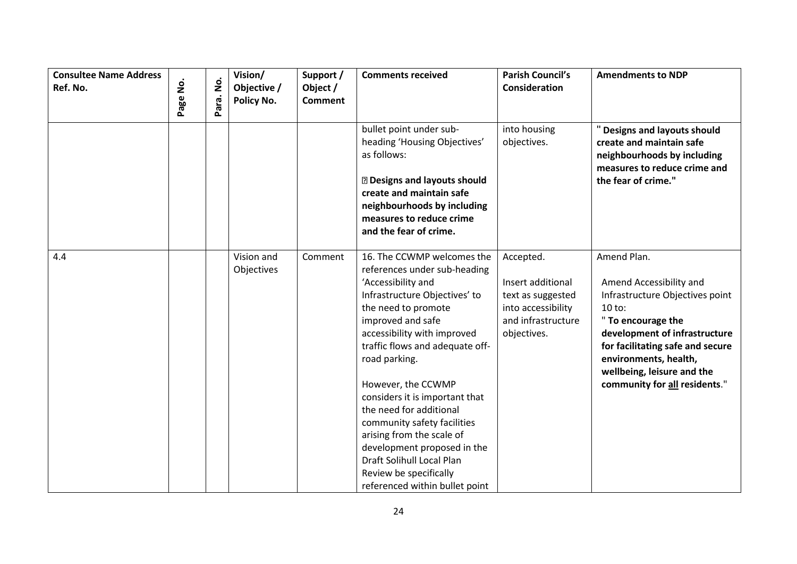| <b>Consultee Name Address</b><br>Ref. No. | Page No. | $\dot{\mathsf{z}}$<br>Para. | Vision/<br>Objective /<br>Policy No. | Support /<br>Object /<br><b>Comment</b> | <b>Comments received</b>                                                                                                                                                                                                                                                                                                                                                                                                                                                                                                | <b>Parish Council's</b><br><b>Consideration</b>                                                                | <b>Amendments to NDP</b>                                                                                                                                                                                                                                                 |
|-------------------------------------------|----------|-----------------------------|--------------------------------------|-----------------------------------------|-------------------------------------------------------------------------------------------------------------------------------------------------------------------------------------------------------------------------------------------------------------------------------------------------------------------------------------------------------------------------------------------------------------------------------------------------------------------------------------------------------------------------|----------------------------------------------------------------------------------------------------------------|--------------------------------------------------------------------------------------------------------------------------------------------------------------------------------------------------------------------------------------------------------------------------|
|                                           |          |                             |                                      |                                         | bullet point under sub-<br>heading 'Housing Objectives'<br>as follows:<br>2 Designs and layouts should<br>create and maintain safe<br>neighbourhoods by including<br>measures to reduce crime<br>and the fear of crime.                                                                                                                                                                                                                                                                                                 | into housing<br>objectives.                                                                                    | " Designs and layouts should<br>create and maintain safe<br>neighbourhoods by including<br>measures to reduce crime and<br>the fear of crime."                                                                                                                           |
| 4.4                                       |          |                             | Vision and<br>Objectives             | Comment                                 | 16. The CCWMP welcomes the<br>references under sub-heading<br>'Accessibility and<br>Infrastructure Objectives' to<br>the need to promote<br>improved and safe<br>accessibility with improved<br>traffic flows and adequate off-<br>road parking.<br>However, the CCWMP<br>considers it is important that<br>the need for additional<br>community safety facilities<br>arising from the scale of<br>development proposed in the<br>Draft Solihull Local Plan<br>Review be specifically<br>referenced within bullet point | Accepted.<br>Insert additional<br>text as suggested<br>into accessibility<br>and infrastructure<br>objectives. | Amend Plan.<br>Amend Accessibility and<br>Infrastructure Objectives point<br>$10$ to:<br>" To encourage the<br>development of infrastructure<br>for facilitating safe and secure<br>environments, health,<br>wellbeing, leisure and the<br>community for all residents." |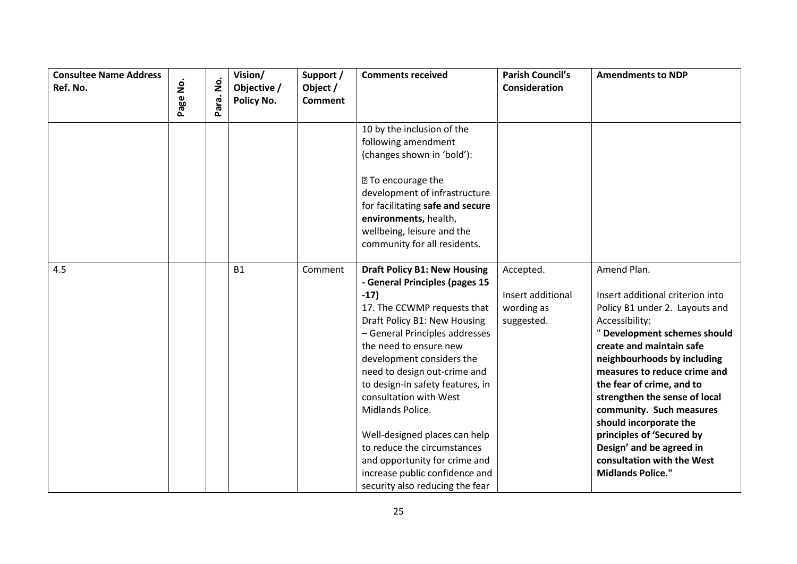| <b>Consultee Name Address</b><br>Ref. No. |          | $\dot{\mathsf{p}}$ | Vision/<br>Objective / | Support /<br>Object / | <b>Comments received</b>                                                                                                                                                                                                                                                                                                                                                                                                                                                                                                        | <b>Parish Council's</b><br><b>Consideration</b>            | <b>Amendments to NDP</b>                                                                                                                                                                                                                                                                                                                                                                                                                                              |
|-------------------------------------------|----------|--------------------|------------------------|-----------------------|---------------------------------------------------------------------------------------------------------------------------------------------------------------------------------------------------------------------------------------------------------------------------------------------------------------------------------------------------------------------------------------------------------------------------------------------------------------------------------------------------------------------------------|------------------------------------------------------------|-----------------------------------------------------------------------------------------------------------------------------------------------------------------------------------------------------------------------------------------------------------------------------------------------------------------------------------------------------------------------------------------------------------------------------------------------------------------------|
|                                           | Page No. | Para.              | Policy No.             | <b>Comment</b>        |                                                                                                                                                                                                                                                                                                                                                                                                                                                                                                                                 |                                                            |                                                                                                                                                                                                                                                                                                                                                                                                                                                                       |
|                                           |          |                    |                        |                       | 10 by the inclusion of the<br>following amendment<br>(changes shown in 'bold'):<br><b>27 To encourage the</b><br>development of infrastructure<br>for facilitating safe and secure<br>environments, health,<br>wellbeing, leisure and the<br>community for all residents.                                                                                                                                                                                                                                                       |                                                            |                                                                                                                                                                                                                                                                                                                                                                                                                                                                       |
| 4.5                                       |          |                    | <b>B1</b>              | Comment               | <b>Draft Policy B1: New Housing</b><br>- General Principles (pages 15<br>$-17)$<br>17. The CCWMP requests that<br>Draft Policy B1: New Housing<br>- General Principles addresses<br>the need to ensure new<br>development considers the<br>need to design out-crime and<br>to design-in safety features, in<br>consultation with West<br>Midlands Police.<br>Well-designed places can help<br>to reduce the circumstances<br>and opportunity for crime and<br>increase public confidence and<br>security also reducing the fear | Accepted.<br>Insert additional<br>wording as<br>suggested. | Amend Plan.<br>Insert additional criterion into<br>Policy B1 under 2. Layouts and<br>Accessibility:<br>" Development schemes should<br>create and maintain safe<br>neighbourhoods by including<br>measures to reduce crime and<br>the fear of crime, and to<br>strengthen the sense of local<br>community. Such measures<br>should incorporate the<br>principles of 'Secured by<br>Design' and be agreed in<br>consultation with the West<br><b>Midlands Police."</b> |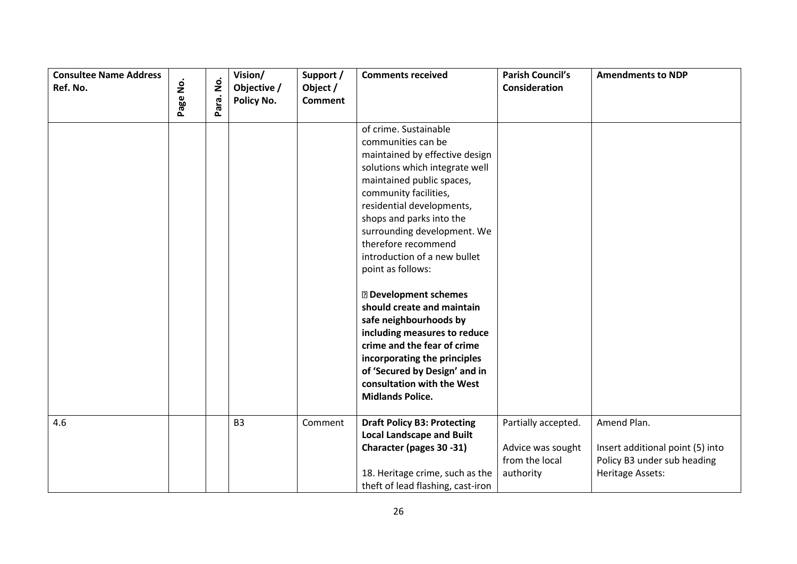| <b>Consultee Name Address</b><br>Ref. No. | $\mathbf{\dot{g}}$<br>Page | $\mathbf{\dot{g}}$<br>Para. | Vision/<br>Objective /<br>Policy No. | Support /<br>Object /<br><b>Comment</b> | <b>Comments received</b>                                                                                                                                                                                                                                                                                                                  | <b>Parish Council's</b><br>Consideration                                | <b>Amendments to NDP</b>                                                                           |
|-------------------------------------------|----------------------------|-----------------------------|--------------------------------------|-----------------------------------------|-------------------------------------------------------------------------------------------------------------------------------------------------------------------------------------------------------------------------------------------------------------------------------------------------------------------------------------------|-------------------------------------------------------------------------|----------------------------------------------------------------------------------------------------|
|                                           |                            |                             |                                      |                                         |                                                                                                                                                                                                                                                                                                                                           |                                                                         |                                                                                                    |
|                                           |                            |                             |                                      |                                         | of crime. Sustainable<br>communities can be<br>maintained by effective design<br>solutions which integrate well<br>maintained public spaces,<br>community facilities,<br>residential developments,<br>shops and parks into the<br>surrounding development. We<br>therefore recommend<br>introduction of a new bullet<br>point as follows: |                                                                         |                                                                                                    |
|                                           |                            |                             |                                      |                                         | <b>2</b> Development schemes<br>should create and maintain<br>safe neighbourhoods by<br>including measures to reduce<br>crime and the fear of crime<br>incorporating the principles<br>of 'Secured by Design' and in<br>consultation with the West<br><b>Midlands Police.</b>                                                             |                                                                         |                                                                                                    |
| 4.6                                       |                            |                             | <b>B3</b>                            | Comment                                 | <b>Draft Policy B3: Protecting</b><br><b>Local Landscape and Built</b><br>Character (pages 30 -31)<br>18. Heritage crime, such as the<br>theft of lead flashing, cast-iron                                                                                                                                                                | Partially accepted.<br>Advice was sought<br>from the local<br>authority | Amend Plan.<br>Insert additional point (5) into<br>Policy B3 under sub heading<br>Heritage Assets: |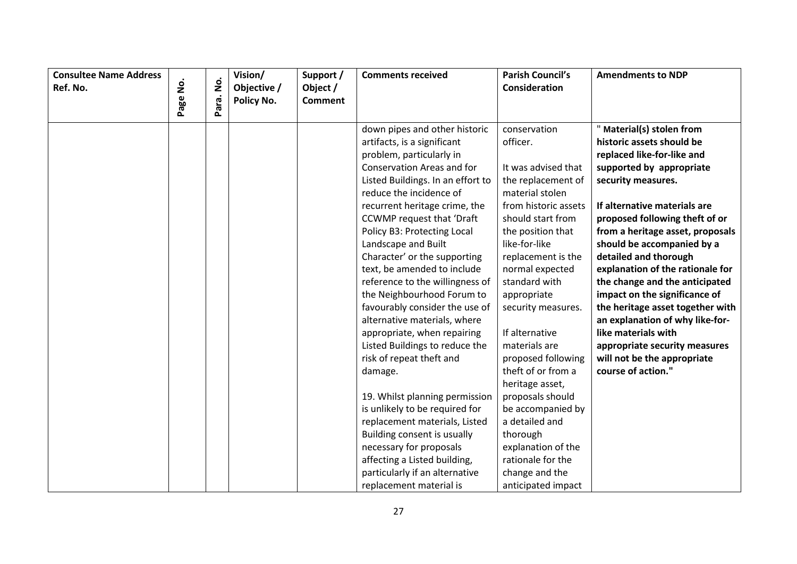| <b>Consultee Name Address</b> |               |           | Vision/     | Support /      | <b>Comments received</b>          | <b>Parish Council's</b> | <b>Amendments to NDP</b>         |
|-------------------------------|---------------|-----------|-------------|----------------|-----------------------------------|-------------------------|----------------------------------|
| Ref. No.                      | <u>o</u><br>Z |           | Objective / | Object /       |                                   | Consideration           |                                  |
|                               | Page          | Para. No. | Policy No.  | <b>Comment</b> |                                   |                         |                                  |
|                               |               |           |             |                | down pipes and other historic     | conservation            | " Material(s) stolen from        |
|                               |               |           |             |                | artifacts, is a significant       | officer.                | historic assets should be        |
|                               |               |           |             |                | problem, particularly in          |                         | replaced like-for-like and       |
|                               |               |           |             |                | Conservation Areas and for        | It was advised that     | supported by appropriate         |
|                               |               |           |             |                | Listed Buildings. In an effort to | the replacement of      | security measures.               |
|                               |               |           |             |                | reduce the incidence of           | material stolen         |                                  |
|                               |               |           |             |                | recurrent heritage crime, the     | from historic assets    | If alternative materials are     |
|                               |               |           |             |                | <b>CCWMP</b> request that 'Draft  | should start from       | proposed following theft of or   |
|                               |               |           |             |                | Policy B3: Protecting Local       | the position that       | from a heritage asset, proposals |
|                               |               |           |             |                | Landscape and Built               | like-for-like           | should be accompanied by a       |
|                               |               |           |             |                | Character' or the supporting      | replacement is the      | detailed and thorough            |
|                               |               |           |             |                | text, be amended to include       | normal expected         | explanation of the rationale for |
|                               |               |           |             |                | reference to the willingness of   | standard with           | the change and the anticipated   |
|                               |               |           |             |                | the Neighbourhood Forum to        | appropriate             | impact on the significance of    |
|                               |               |           |             |                | favourably consider the use of    | security measures.      | the heritage asset together with |
|                               |               |           |             |                | alternative materials, where      |                         | an explanation of why like-for-  |
|                               |               |           |             |                | appropriate, when repairing       | If alternative          | like materials with              |
|                               |               |           |             |                | Listed Buildings to reduce the    | materials are           | appropriate security measures    |
|                               |               |           |             |                | risk of repeat theft and          | proposed following      | will not be the appropriate      |
|                               |               |           |             |                | damage.                           | theft of or from a      | course of action."               |
|                               |               |           |             |                |                                   | heritage asset,         |                                  |
|                               |               |           |             |                | 19. Whilst planning permission    | proposals should        |                                  |
|                               |               |           |             |                | is unlikely to be required for    | be accompanied by       |                                  |
|                               |               |           |             |                | replacement materials, Listed     | a detailed and          |                                  |
|                               |               |           |             |                | Building consent is usually       | thorough                |                                  |
|                               |               |           |             |                | necessary for proposals           | explanation of the      |                                  |
|                               |               |           |             |                | affecting a Listed building,      | rationale for the       |                                  |
|                               |               |           |             |                | particularly if an alternative    | change and the          |                                  |
|                               |               |           |             |                | replacement material is           | anticipated impact      |                                  |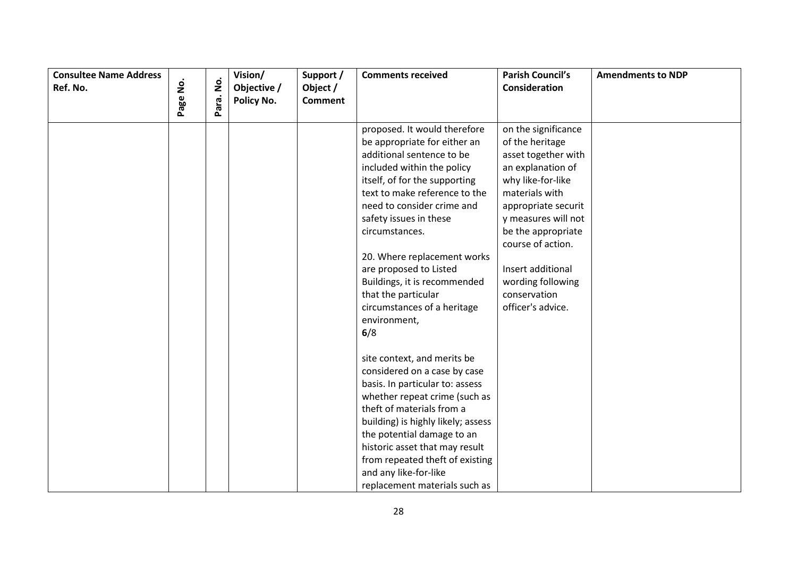| <b>Consultee Name Address</b> |          |           | Vision/     | Support /      | <b>Comments received</b>                                                                                                                                                                                                                                                                                                                                                                                                                  | <b>Parish Council's</b>                                                                                                                                                                                                                                                                           | <b>Amendments to NDP</b> |
|-------------------------------|----------|-----------|-------------|----------------|-------------------------------------------------------------------------------------------------------------------------------------------------------------------------------------------------------------------------------------------------------------------------------------------------------------------------------------------------------------------------------------------------------------------------------------------|---------------------------------------------------------------------------------------------------------------------------------------------------------------------------------------------------------------------------------------------------------------------------------------------------|--------------------------|
| Ref. No.                      |          |           | Objective / | Object /       |                                                                                                                                                                                                                                                                                                                                                                                                                                           | Consideration                                                                                                                                                                                                                                                                                     |                          |
|                               | Page No. | Para. No. | Policy No.  | <b>Comment</b> |                                                                                                                                                                                                                                                                                                                                                                                                                                           |                                                                                                                                                                                                                                                                                                   |                          |
|                               |          |           |             |                | proposed. It would therefore<br>be appropriate for either an<br>additional sentence to be<br>included within the policy<br>itself, of for the supporting<br>text to make reference to the<br>need to consider crime and<br>safety issues in these<br>circumstances.<br>20. Where replacement works<br>are proposed to Listed<br>Buildings, it is recommended<br>that the particular<br>circumstances of a heritage<br>environment,<br>6/8 | on the significance<br>of the heritage<br>asset together with<br>an explanation of<br>why like-for-like<br>materials with<br>appropriate securit<br>y measures will not<br>be the appropriate<br>course of action.<br>Insert additional<br>wording following<br>conservation<br>officer's advice. |                          |
|                               |          |           |             |                | site context, and merits be<br>considered on a case by case<br>basis. In particular to: assess<br>whether repeat crime (such as<br>theft of materials from a<br>building) is highly likely; assess<br>the potential damage to an<br>historic asset that may result<br>from repeated theft of existing<br>and any like-for-like<br>replacement materials such as                                                                           |                                                                                                                                                                                                                                                                                                   |                          |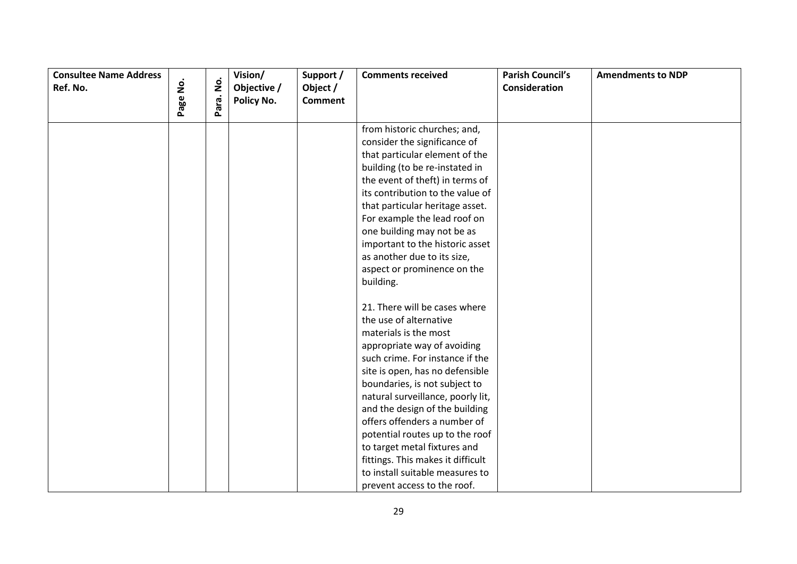| <b>Consultee Name Address</b><br>Ref. No. | Page No. | $\dot{\mathsf{p}}$ | Vision/<br>Objective / | Support /<br>Object /<br><b>Comment</b> | <b>Comments received</b>                                                                                                                                                                                                                                                                                                                                                                                                                                                                                | <b>Parish Council's</b><br>Consideration | <b>Amendments to NDP</b> |
|-------------------------------------------|----------|--------------------|------------------------|-----------------------------------------|---------------------------------------------------------------------------------------------------------------------------------------------------------------------------------------------------------------------------------------------------------------------------------------------------------------------------------------------------------------------------------------------------------------------------------------------------------------------------------------------------------|------------------------------------------|--------------------------|
|                                           |          | Para.              | Policy No.             |                                         |                                                                                                                                                                                                                                                                                                                                                                                                                                                                                                         |                                          |                          |
|                                           |          |                    |                        |                                         | from historic churches; and,<br>consider the significance of<br>that particular element of the<br>building (to be re-instated in<br>the event of theft) in terms of<br>its contribution to the value of<br>that particular heritage asset.<br>For example the lead roof on<br>one building may not be as<br>important to the historic asset<br>as another due to its size,<br>aspect or prominence on the<br>building.                                                                                  |                                          |                          |
|                                           |          |                    |                        |                                         | 21. There will be cases where<br>the use of alternative<br>materials is the most<br>appropriate way of avoiding<br>such crime. For instance if the<br>site is open, has no defensible<br>boundaries, is not subject to<br>natural surveillance, poorly lit,<br>and the design of the building<br>offers offenders a number of<br>potential routes up to the roof<br>to target metal fixtures and<br>fittings. This makes it difficult<br>to install suitable measures to<br>prevent access to the roof. |                                          |                          |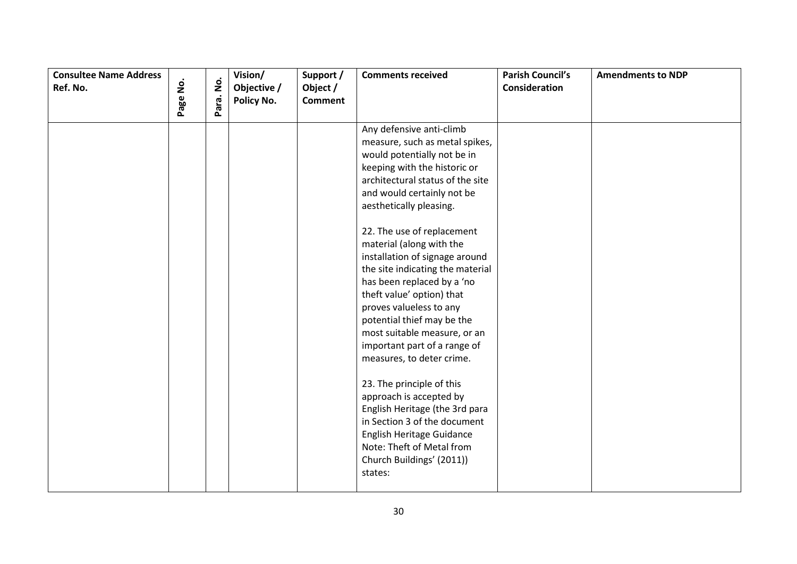| <b>Consultee Name Address</b><br>Ref. No. | $\dot{\mathsf{g}}$ | Para. No. | Vision/<br>Objective /<br>Policy No. | Support /<br>Object /<br><b>Comment</b> | <b>Comments received</b>                                                                                                                                                                                                                                                                                                                                                                                                                                                                                                                                                                                                                                                                                                                                                                            | <b>Parish Council's</b><br>Consideration | <b>Amendments to NDP</b> |
|-------------------------------------------|--------------------|-----------|--------------------------------------|-----------------------------------------|-----------------------------------------------------------------------------------------------------------------------------------------------------------------------------------------------------------------------------------------------------------------------------------------------------------------------------------------------------------------------------------------------------------------------------------------------------------------------------------------------------------------------------------------------------------------------------------------------------------------------------------------------------------------------------------------------------------------------------------------------------------------------------------------------------|------------------------------------------|--------------------------|
|                                           | Page               |           |                                      |                                         | Any defensive anti-climb<br>measure, such as metal spikes,<br>would potentially not be in<br>keeping with the historic or<br>architectural status of the site<br>and would certainly not be<br>aesthetically pleasing.<br>22. The use of replacement<br>material (along with the<br>installation of signage around<br>the site indicating the material<br>has been replaced by a 'no<br>theft value' option) that<br>proves valueless to any<br>potential thief may be the<br>most suitable measure, or an<br>important part of a range of<br>measures, to deter crime.<br>23. The principle of this<br>approach is accepted by<br>English Heritage (the 3rd para<br>in Section 3 of the document<br>English Heritage Guidance<br>Note: Theft of Metal from<br>Church Buildings' (2011))<br>states: |                                          |                          |
|                                           |                    |           |                                      |                                         |                                                                                                                                                                                                                                                                                                                                                                                                                                                                                                                                                                                                                                                                                                                                                                                                     |                                          |                          |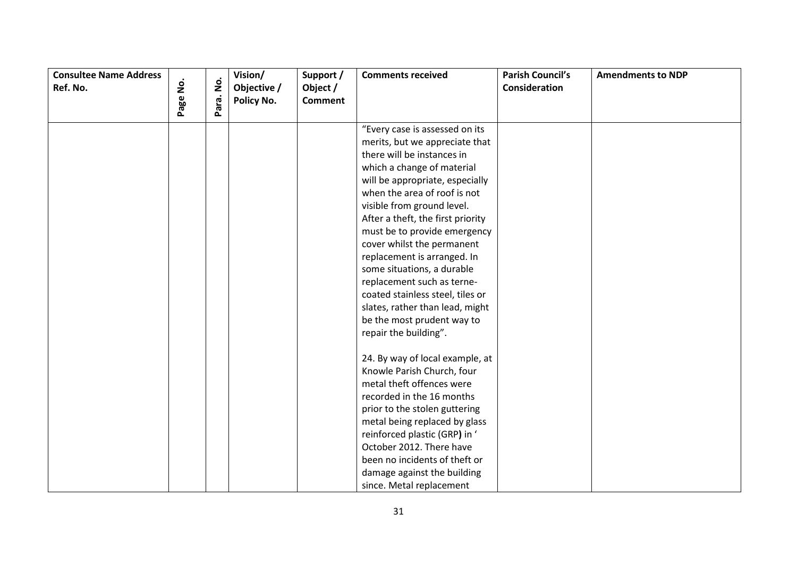| <b>Consultee Name Address</b><br>Ref. No. | $\dot{\mathsf{S}}$ |           | Vision/                   | Support /                  | <b>Comments received</b>          | <b>Parish Council's</b><br>Consideration | <b>Amendments to NDP</b> |
|-------------------------------------------|--------------------|-----------|---------------------------|----------------------------|-----------------------------------|------------------------------------------|--------------------------|
|                                           |                    |           | Objective /<br>Policy No. | Object /<br><b>Comment</b> |                                   |                                          |                          |
|                                           | Page               | Para. No. |                           |                            |                                   |                                          |                          |
|                                           |                    |           |                           |                            | "Every case is assessed on its    |                                          |                          |
|                                           |                    |           |                           |                            | merits, but we appreciate that    |                                          |                          |
|                                           |                    |           |                           |                            | there will be instances in        |                                          |                          |
|                                           |                    |           |                           |                            | which a change of material        |                                          |                          |
|                                           |                    |           |                           |                            | will be appropriate, especially   |                                          |                          |
|                                           |                    |           |                           |                            | when the area of roof is not      |                                          |                          |
|                                           |                    |           |                           |                            | visible from ground level.        |                                          |                          |
|                                           |                    |           |                           |                            | After a theft, the first priority |                                          |                          |
|                                           |                    |           |                           |                            | must be to provide emergency      |                                          |                          |
|                                           |                    |           |                           |                            | cover whilst the permanent        |                                          |                          |
|                                           |                    |           |                           |                            | replacement is arranged. In       |                                          |                          |
|                                           |                    |           |                           |                            | some situations, a durable        |                                          |                          |
|                                           |                    |           |                           |                            | replacement such as terne-        |                                          |                          |
|                                           |                    |           |                           |                            | coated stainless steel, tiles or  |                                          |                          |
|                                           |                    |           |                           |                            | slates, rather than lead, might   |                                          |                          |
|                                           |                    |           |                           |                            | be the most prudent way to        |                                          |                          |
|                                           |                    |           |                           |                            | repair the building".             |                                          |                          |
|                                           |                    |           |                           |                            |                                   |                                          |                          |
|                                           |                    |           |                           |                            | 24. By way of local example, at   |                                          |                          |
|                                           |                    |           |                           |                            | Knowle Parish Church, four        |                                          |                          |
|                                           |                    |           |                           |                            | metal theft offences were         |                                          |                          |
|                                           |                    |           |                           |                            | recorded in the 16 months         |                                          |                          |
|                                           |                    |           |                           |                            | prior to the stolen guttering     |                                          |                          |
|                                           |                    |           |                           |                            | metal being replaced by glass     |                                          |                          |
|                                           |                    |           |                           |                            | reinforced plastic (GRP) in '     |                                          |                          |
|                                           |                    |           |                           |                            | October 2012. There have          |                                          |                          |
|                                           |                    |           |                           |                            | been no incidents of theft or     |                                          |                          |
|                                           |                    |           |                           |                            | damage against the building       |                                          |                          |
|                                           |                    |           |                           |                            | since. Metal replacement          |                                          |                          |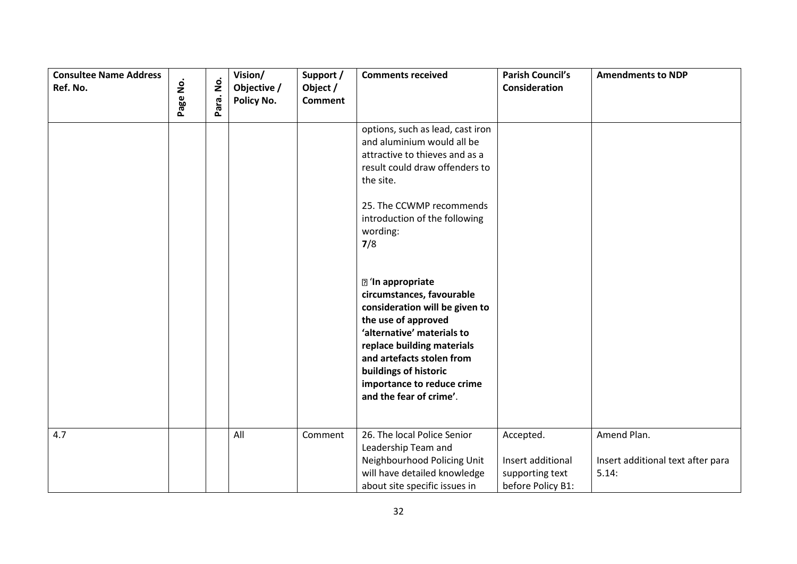| <b>Consultee Name Address</b><br>Ref. No. | $\mathbf{\dot{g}}$<br>Page | $\dot{\mathsf{S}}$<br>Para. | Vision/<br>Objective /<br>Policy No. | Support /<br>Object /<br><b>Comment</b> | <b>Comments received</b>                                                                                                                                                                                                                                                                  | <b>Parish Council's</b><br><b>Consideration</b>                        | <b>Amendments to NDP</b>                                  |
|-------------------------------------------|----------------------------|-----------------------------|--------------------------------------|-----------------------------------------|-------------------------------------------------------------------------------------------------------------------------------------------------------------------------------------------------------------------------------------------------------------------------------------------|------------------------------------------------------------------------|-----------------------------------------------------------|
|                                           |                            |                             |                                      |                                         | options, such as lead, cast iron<br>and aluminium would all be<br>attractive to thieves and as a<br>result could draw offenders to<br>the site.<br>25. The CCWMP recommends<br>introduction of the following<br>wording:<br>7/8                                                           |                                                                        |                                                           |
|                                           |                            |                             |                                      |                                         | <b>2</b> 'In appropriate<br>circumstances, favourable<br>consideration will be given to<br>the use of approved<br>'alternative' materials to<br>replace building materials<br>and artefacts stolen from<br>buildings of historic<br>importance to reduce crime<br>and the fear of crime'. |                                                                        |                                                           |
| 4.7                                       |                            |                             | All                                  | Comment                                 | 26. The local Police Senior<br>Leadership Team and<br>Neighbourhood Policing Unit<br>will have detailed knowledge<br>about site specific issues in                                                                                                                                        | Accepted.<br>Insert additional<br>supporting text<br>before Policy B1: | Amend Plan.<br>Insert additional text after para<br>5.14: |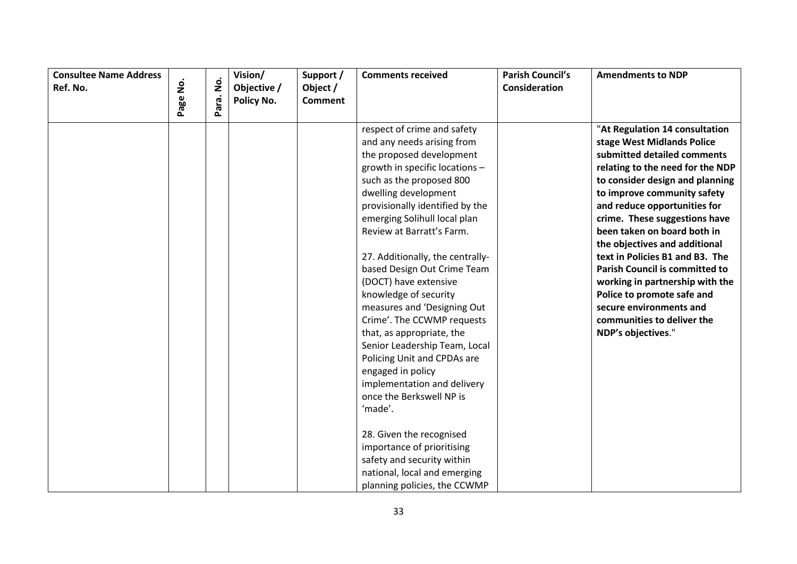| <b>Consultee Name Address</b><br>Ref. No. | <u>o</u><br>Z | $\dot{\mathsf{p}}$ | Vision/                   | Support /                  | <b>Comments received</b>         | <b>Parish Council's</b><br>Consideration | <b>Amendments to NDP</b>              |
|-------------------------------------------|---------------|--------------------|---------------------------|----------------------------|----------------------------------|------------------------------------------|---------------------------------------|
|                                           |               |                    | Objective /<br>Policy No. | Object /<br><b>Comment</b> |                                  |                                          |                                       |
|                                           | Page          | Para.              |                           |                            |                                  |                                          |                                       |
|                                           |               |                    |                           |                            | respect of crime and safety      |                                          | "At Regulation 14 consultation        |
|                                           |               |                    |                           |                            | and any needs arising from       |                                          | stage West Midlands Police            |
|                                           |               |                    |                           |                            | the proposed development         |                                          | submitted detailed comments           |
|                                           |               |                    |                           |                            | growth in specific locations -   |                                          | relating to the need for the NDP      |
|                                           |               |                    |                           |                            | such as the proposed 800         |                                          | to consider design and planning       |
|                                           |               |                    |                           |                            | dwelling development             |                                          | to improve community safety           |
|                                           |               |                    |                           |                            | provisionally identified by the  |                                          | and reduce opportunities for          |
|                                           |               |                    |                           |                            | emerging Solihull local plan     |                                          | crime. These suggestions have         |
|                                           |               |                    |                           |                            | Review at Barratt's Farm.        |                                          | been taken on board both in           |
|                                           |               |                    |                           |                            |                                  |                                          | the objectives and additional         |
|                                           |               |                    |                           |                            | 27. Additionally, the centrally- |                                          | text in Policies B1 and B3. The       |
|                                           |               |                    |                           |                            | based Design Out Crime Team      |                                          | <b>Parish Council is committed to</b> |
|                                           |               |                    |                           |                            | (DOCT) have extensive            |                                          | working in partnership with the       |
|                                           |               |                    |                           |                            | knowledge of security            |                                          | Police to promote safe and            |
|                                           |               |                    |                           |                            | measures and 'Designing Out      |                                          | secure environments and               |
|                                           |               |                    |                           |                            | Crime'. The CCWMP requests       |                                          | communities to deliver the            |
|                                           |               |                    |                           |                            | that, as appropriate, the        |                                          | NDP's objectives."                    |
|                                           |               |                    |                           |                            | Senior Leadership Team, Local    |                                          |                                       |
|                                           |               |                    |                           |                            | Policing Unit and CPDAs are      |                                          |                                       |
|                                           |               |                    |                           |                            | engaged in policy                |                                          |                                       |
|                                           |               |                    |                           |                            | implementation and delivery      |                                          |                                       |
|                                           |               |                    |                           |                            | once the Berkswell NP is         |                                          |                                       |
|                                           |               |                    |                           |                            | 'made'.                          |                                          |                                       |
|                                           |               |                    |                           |                            |                                  |                                          |                                       |
|                                           |               |                    |                           |                            | 28. Given the recognised         |                                          |                                       |
|                                           |               |                    |                           |                            | importance of prioritising       |                                          |                                       |
|                                           |               |                    |                           |                            | safety and security within       |                                          |                                       |
|                                           |               |                    |                           |                            | national, local and emerging     |                                          |                                       |
|                                           |               |                    |                           |                            | planning policies, the CCWMP     |                                          |                                       |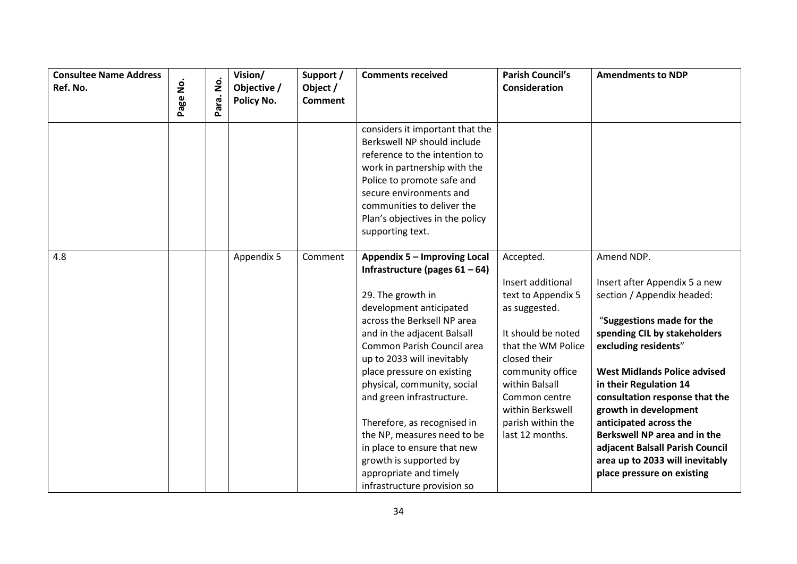| <b>Consultee Name Address</b> |          | $\dot{\mathsf{g}}$ | Vision/     | Support /      | <b>Comments received</b>          | <b>Parish Council's</b>           | <b>Amendments to NDP</b>                                |
|-------------------------------|----------|--------------------|-------------|----------------|-----------------------------------|-----------------------------------|---------------------------------------------------------|
| Ref. No.                      |          |                    | Objective / | Object /       |                                   | <b>Consideration</b>              |                                                         |
|                               | Page No. | Para.              | Policy No.  | <b>Comment</b> |                                   |                                   |                                                         |
|                               |          |                    |             |                | considers it important that the   |                                   |                                                         |
|                               |          |                    |             |                | Berkswell NP should include       |                                   |                                                         |
|                               |          |                    |             |                | reference to the intention to     |                                   |                                                         |
|                               |          |                    |             |                | work in partnership with the      |                                   |                                                         |
|                               |          |                    |             |                | Police to promote safe and        |                                   |                                                         |
|                               |          |                    |             |                | secure environments and           |                                   |                                                         |
|                               |          |                    |             |                | communities to deliver the        |                                   |                                                         |
|                               |          |                    |             |                | Plan's objectives in the policy   |                                   |                                                         |
|                               |          |                    |             |                | supporting text.                  |                                   |                                                         |
| 4.8                           |          |                    | Appendix 5  | Comment        | Appendix 5 - Improving Local      | Accepted.                         | Amend NDP.                                              |
|                               |          |                    |             |                | Infrastructure (pages $61 - 64$ ) |                                   |                                                         |
|                               |          |                    |             |                |                                   | Insert additional                 | Insert after Appendix 5 a new                           |
|                               |          |                    |             |                | 29. The growth in                 | text to Appendix 5                | section / Appendix headed:                              |
|                               |          |                    |             |                | development anticipated           | as suggested.                     |                                                         |
|                               |          |                    |             |                | across the Berksell NP area       |                                   | "Suggestions made for the                               |
|                               |          |                    |             |                | and in the adjacent Balsall       | It should be noted                | spending CIL by stakeholders                            |
|                               |          |                    |             |                | Common Parish Council area        | that the WM Police                | excluding residents"                                    |
|                               |          |                    |             |                | up to 2033 will inevitably        | closed their                      |                                                         |
|                               |          |                    |             |                | place pressure on existing        | community office                  | <b>West Midlands Police advised</b>                     |
|                               |          |                    |             |                | physical, community, social       | within Balsall                    | in their Regulation 14                                  |
|                               |          |                    |             |                | and green infrastructure.         | Common centre<br>within Berkswell | consultation response that the<br>growth in development |
|                               |          |                    |             |                | Therefore, as recognised in       | parish within the                 | anticipated across the                                  |
|                               |          |                    |             |                | the NP, measures need to be       | last 12 months.                   | Berkswell NP area and in the                            |
|                               |          |                    |             |                | in place to ensure that new       |                                   | adjacent Balsall Parish Council                         |
|                               |          |                    |             |                | growth is supported by            |                                   | area up to 2033 will inevitably                         |
|                               |          |                    |             |                | appropriate and timely            |                                   | place pressure on existing                              |
|                               |          |                    |             |                | infrastructure provision so       |                                   |                                                         |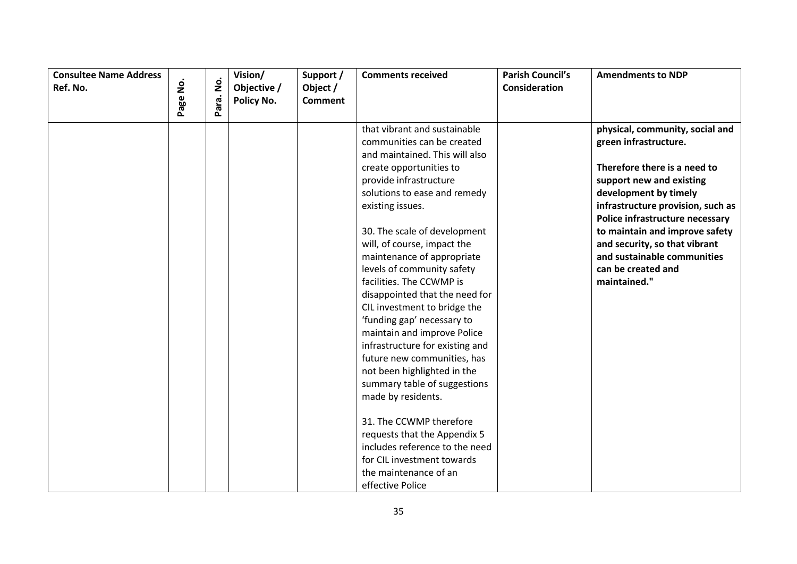| <b>Consultee Name Address</b><br>Ref. No. | $\dot{\mathsf{S}}$ | $\dot{\mathsf{p}}$ | Vision/<br>Objective / | Support /<br>Object / | <b>Comments received</b>        | <b>Parish Council's</b><br>Consideration | <b>Amendments to NDP</b>          |
|-------------------------------------------|--------------------|--------------------|------------------------|-----------------------|---------------------------------|------------------------------------------|-----------------------------------|
|                                           | Page               | Para.              | Policy No.             | <b>Comment</b>        |                                 |                                          |                                   |
|                                           |                    |                    |                        |                       |                                 |                                          |                                   |
|                                           |                    |                    |                        |                       | that vibrant and sustainable    |                                          | physical, community, social and   |
|                                           |                    |                    |                        |                       | communities can be created      |                                          | green infrastructure.             |
|                                           |                    |                    |                        |                       | and maintained. This will also  |                                          |                                   |
|                                           |                    |                    |                        |                       | create opportunities to         |                                          | Therefore there is a need to      |
|                                           |                    |                    |                        |                       | provide infrastructure          |                                          | support new and existing          |
|                                           |                    |                    |                        |                       | solutions to ease and remedy    |                                          | development by timely             |
|                                           |                    |                    |                        |                       | existing issues.                |                                          | infrastructure provision, such as |
|                                           |                    |                    |                        |                       |                                 |                                          | Police infrastructure necessary   |
|                                           |                    |                    |                        |                       | 30. The scale of development    |                                          | to maintain and improve safety    |
|                                           |                    |                    |                        |                       | will, of course, impact the     |                                          | and security, so that vibrant     |
|                                           |                    |                    |                        |                       | maintenance of appropriate      |                                          | and sustainable communities       |
|                                           |                    |                    |                        |                       | levels of community safety      |                                          | can be created and                |
|                                           |                    |                    |                        |                       | facilities. The CCWMP is        |                                          | maintained."                      |
|                                           |                    |                    |                        |                       | disappointed that the need for  |                                          |                                   |
|                                           |                    |                    |                        |                       | CIL investment to bridge the    |                                          |                                   |
|                                           |                    |                    |                        |                       | 'funding gap' necessary to      |                                          |                                   |
|                                           |                    |                    |                        |                       | maintain and improve Police     |                                          |                                   |
|                                           |                    |                    |                        |                       | infrastructure for existing and |                                          |                                   |
|                                           |                    |                    |                        |                       | future new communities, has     |                                          |                                   |
|                                           |                    |                    |                        |                       | not been highlighted in the     |                                          |                                   |
|                                           |                    |                    |                        |                       | summary table of suggestions    |                                          |                                   |
|                                           |                    |                    |                        |                       | made by residents.              |                                          |                                   |
|                                           |                    |                    |                        |                       | 31. The CCWMP therefore         |                                          |                                   |
|                                           |                    |                    |                        |                       | requests that the Appendix 5    |                                          |                                   |
|                                           |                    |                    |                        |                       | includes reference to the need  |                                          |                                   |
|                                           |                    |                    |                        |                       | for CIL investment towards      |                                          |                                   |
|                                           |                    |                    |                        |                       | the maintenance of an           |                                          |                                   |
|                                           |                    |                    |                        |                       | effective Police                |                                          |                                   |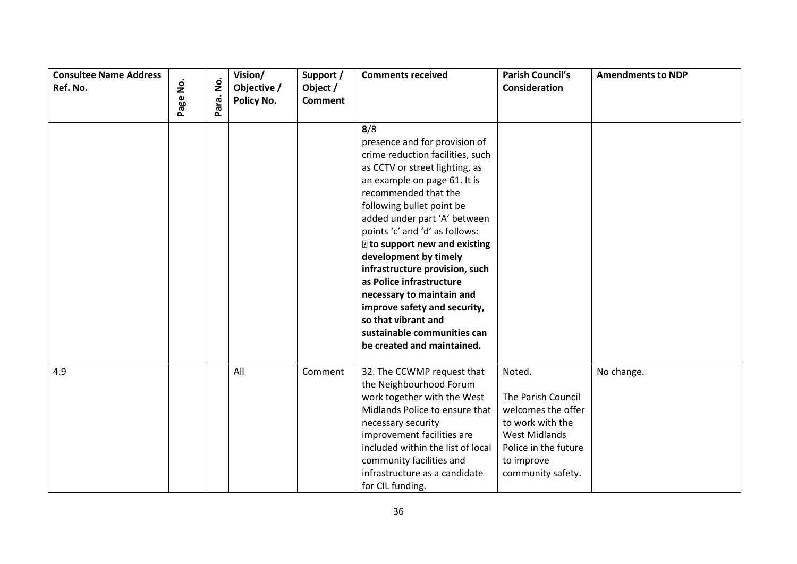| <b>Consultee Name Address</b><br>Ref. No. | $\dot{\mathsf{S}}$<br>Page | $\dot{\mathsf{z}}$<br>Para. | Vision/<br>Objective /<br>Policy No. | Support /<br>Object /<br><b>Comment</b> | <b>Comments received</b>                                                                                                                                                                                                                                                                                                                                                                                                                                                                                                                          | <b>Parish Council's</b><br>Consideration                                                                                                                  | <b>Amendments to NDP</b> |
|-------------------------------------------|----------------------------|-----------------------------|--------------------------------------|-----------------------------------------|---------------------------------------------------------------------------------------------------------------------------------------------------------------------------------------------------------------------------------------------------------------------------------------------------------------------------------------------------------------------------------------------------------------------------------------------------------------------------------------------------------------------------------------------------|-----------------------------------------------------------------------------------------------------------------------------------------------------------|--------------------------|
|                                           |                            |                             |                                      |                                         | 8/8<br>presence and for provision of<br>crime reduction facilities, such<br>as CCTV or street lighting, as<br>an example on page 61. It is<br>recommended that the<br>following bullet point be<br>added under part 'A' between<br>points 'c' and 'd' as follows:<br><b>I</b> to support new and existing<br>development by timely<br>infrastructure provision, such<br>as Police infrastructure<br>necessary to maintain and<br>improve safety and security,<br>so that vibrant and<br>sustainable communities can<br>be created and maintained. |                                                                                                                                                           |                          |
| 4.9                                       |                            |                             | All                                  | Comment                                 | 32. The CCWMP request that<br>the Neighbourhood Forum<br>work together with the West<br>Midlands Police to ensure that<br>necessary security<br>improvement facilities are<br>included within the list of local<br>community facilities and<br>infrastructure as a candidate<br>for CIL funding.                                                                                                                                                                                                                                                  | Noted.<br>The Parish Council<br>welcomes the offer<br>to work with the<br><b>West Midlands</b><br>Police in the future<br>to improve<br>community safety. | No change.               |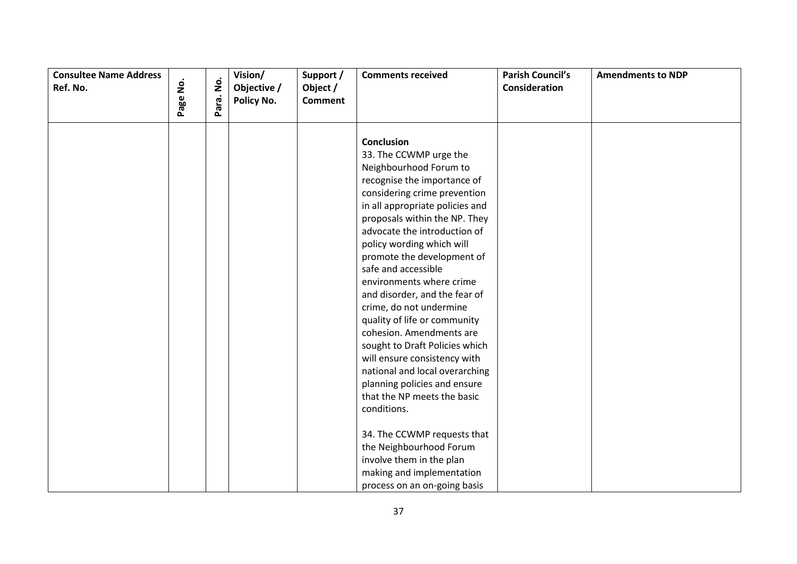| <b>Consultee Name Address</b><br>Ref. No. | $\mathbf{\dot{g}}$ |           | Vision/<br>Objective / | Support /<br>Object / | <b>Comments received</b>                                                                                                                                                                                                                                                                                                                                                                                                                                                                                                                                                                                                                                         | <b>Parish Council's</b><br>Consideration | <b>Amendments to NDP</b> |
|-------------------------------------------|--------------------|-----------|------------------------|-----------------------|------------------------------------------------------------------------------------------------------------------------------------------------------------------------------------------------------------------------------------------------------------------------------------------------------------------------------------------------------------------------------------------------------------------------------------------------------------------------------------------------------------------------------------------------------------------------------------------------------------------------------------------------------------------|------------------------------------------|--------------------------|
|                                           | Page               | Para. No. | Policy No.             | <b>Comment</b>        |                                                                                                                                                                                                                                                                                                                                                                                                                                                                                                                                                                                                                                                                  |                                          |                          |
|                                           |                    |           |                        |                       | <b>Conclusion</b><br>33. The CCWMP urge the<br>Neighbourhood Forum to<br>recognise the importance of<br>considering crime prevention<br>in all appropriate policies and<br>proposals within the NP. They<br>advocate the introduction of<br>policy wording which will<br>promote the development of<br>safe and accessible<br>environments where crime<br>and disorder, and the fear of<br>crime, do not undermine<br>quality of life or community<br>cohesion. Amendments are<br>sought to Draft Policies which<br>will ensure consistency with<br>national and local overarching<br>planning policies and ensure<br>that the NP meets the basic<br>conditions. |                                          |                          |
|                                           |                    |           |                        |                       | 34. The CCWMP requests that<br>the Neighbourhood Forum<br>involve them in the plan<br>making and implementation<br>process on an on-going basis                                                                                                                                                                                                                                                                                                                                                                                                                                                                                                                  |                                          |                          |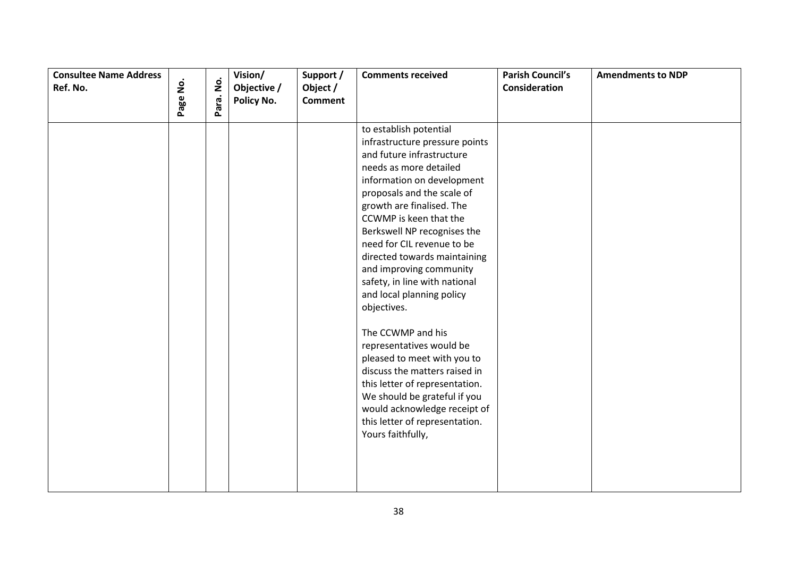| <b>Consultee Name Address</b> |          | $\dot{\mathsf{p}}$ | Vision/                   | Support /                  | <b>Comments received</b>                                                                                                                                                                                                                                                                                                                                                                                                                                                                                                                                                                                                                                                                                          | <b>Parish Council's</b> | <b>Amendments to NDP</b> |
|-------------------------------|----------|--------------------|---------------------------|----------------------------|-------------------------------------------------------------------------------------------------------------------------------------------------------------------------------------------------------------------------------------------------------------------------------------------------------------------------------------------------------------------------------------------------------------------------------------------------------------------------------------------------------------------------------------------------------------------------------------------------------------------------------------------------------------------------------------------------------------------|-------------------------|--------------------------|
| Ref. No.                      | Page No. |                    | Objective /<br>Policy No. | Object /<br><b>Comment</b> |                                                                                                                                                                                                                                                                                                                                                                                                                                                                                                                                                                                                                                                                                                                   | Consideration           |                          |
|                               |          | Para.              |                           |                            |                                                                                                                                                                                                                                                                                                                                                                                                                                                                                                                                                                                                                                                                                                                   |                         |                          |
|                               |          |                    |                           |                            | to establish potential<br>infrastructure pressure points<br>and future infrastructure<br>needs as more detailed<br>information on development<br>proposals and the scale of<br>growth are finalised. The<br>CCWMP is keen that the<br>Berkswell NP recognises the<br>need for CIL revenue to be<br>directed towards maintaining<br>and improving community<br>safety, in line with national<br>and local planning policy<br>objectives.<br>The CCWMP and his<br>representatives would be<br>pleased to meet with you to<br>discuss the matters raised in<br>this letter of representation.<br>We should be grateful if you<br>would acknowledge receipt of<br>this letter of representation.<br>Yours faithfully, |                         |                          |
|                               |          |                    |                           |                            |                                                                                                                                                                                                                                                                                                                                                                                                                                                                                                                                                                                                                                                                                                                   |                         |                          |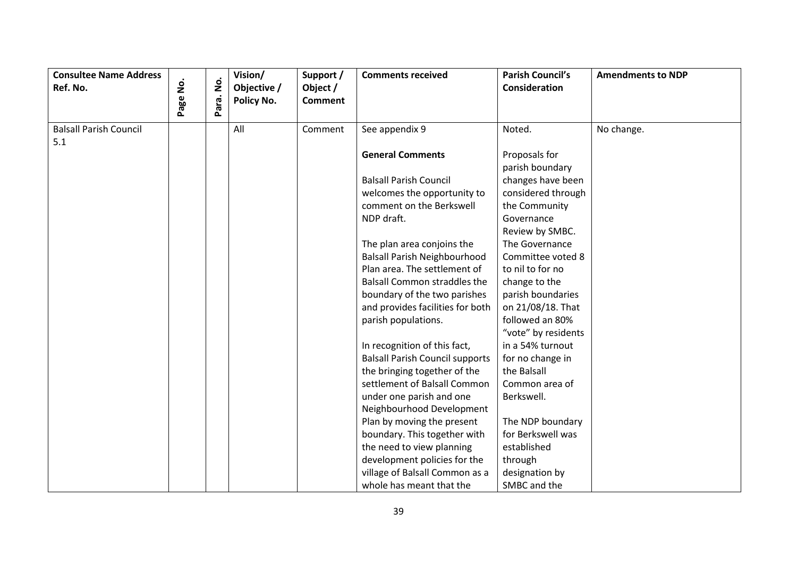| <b>Consultee Name Address</b><br>Ref. No. | $\dot{\mathsf{S}}$<br>Page | $\dot{\mathsf{g}}$<br>Para. | Vision/<br>Objective /<br>Policy No. | Support /<br>Object /<br><b>Comment</b> | <b>Comments received</b>               | <b>Parish Council's</b><br>Consideration | <b>Amendments to NDP</b> |
|-------------------------------------------|----------------------------|-----------------------------|--------------------------------------|-----------------------------------------|----------------------------------------|------------------------------------------|--------------------------|
| <b>Balsall Parish Council</b><br>5.1      |                            |                             | All                                  | Comment                                 | See appendix 9                         | Noted.                                   | No change.               |
|                                           |                            |                             |                                      |                                         | <b>General Comments</b>                | Proposals for<br>parish boundary         |                          |
|                                           |                            |                             |                                      |                                         | <b>Balsall Parish Council</b>          | changes have been                        |                          |
|                                           |                            |                             |                                      |                                         | welcomes the opportunity to            | considered through                       |                          |
|                                           |                            |                             |                                      |                                         | comment on the Berkswell               | the Community                            |                          |
|                                           |                            |                             |                                      |                                         | NDP draft.                             | Governance                               |                          |
|                                           |                            |                             |                                      |                                         |                                        | Review by SMBC.                          |                          |
|                                           |                            |                             |                                      |                                         | The plan area conjoins the             | The Governance                           |                          |
|                                           |                            |                             |                                      |                                         | <b>Balsall Parish Neighbourhood</b>    | Committee voted 8                        |                          |
|                                           |                            |                             |                                      |                                         | Plan area. The settlement of           | to nil to for no                         |                          |
|                                           |                            |                             |                                      |                                         | <b>Balsall Common straddles the</b>    | change to the                            |                          |
|                                           |                            |                             |                                      |                                         | boundary of the two parishes           | parish boundaries                        |                          |
|                                           |                            |                             |                                      |                                         | and provides facilities for both       | on 21/08/18. That                        |                          |
|                                           |                            |                             |                                      |                                         | parish populations.                    | followed an 80%                          |                          |
|                                           |                            |                             |                                      |                                         |                                        | "vote" by residents                      |                          |
|                                           |                            |                             |                                      |                                         | In recognition of this fact,           | in a 54% turnout                         |                          |
|                                           |                            |                             |                                      |                                         | <b>Balsall Parish Council supports</b> | for no change in                         |                          |
|                                           |                            |                             |                                      |                                         | the bringing together of the           | the Balsall                              |                          |
|                                           |                            |                             |                                      |                                         | settlement of Balsall Common           | Common area of                           |                          |
|                                           |                            |                             |                                      |                                         | under one parish and one               | Berkswell.                               |                          |
|                                           |                            |                             |                                      |                                         | Neighbourhood Development              |                                          |                          |
|                                           |                            |                             |                                      |                                         | Plan by moving the present             | The NDP boundary                         |                          |
|                                           |                            |                             |                                      |                                         | boundary. This together with           | for Berkswell was                        |                          |
|                                           |                            |                             |                                      |                                         | the need to view planning              | established                              |                          |
|                                           |                            |                             |                                      |                                         | development policies for the           | through                                  |                          |
|                                           |                            |                             |                                      |                                         | village of Balsall Common as a         | designation by                           |                          |
|                                           |                            |                             |                                      |                                         | whole has meant that the               | SMBC and the                             |                          |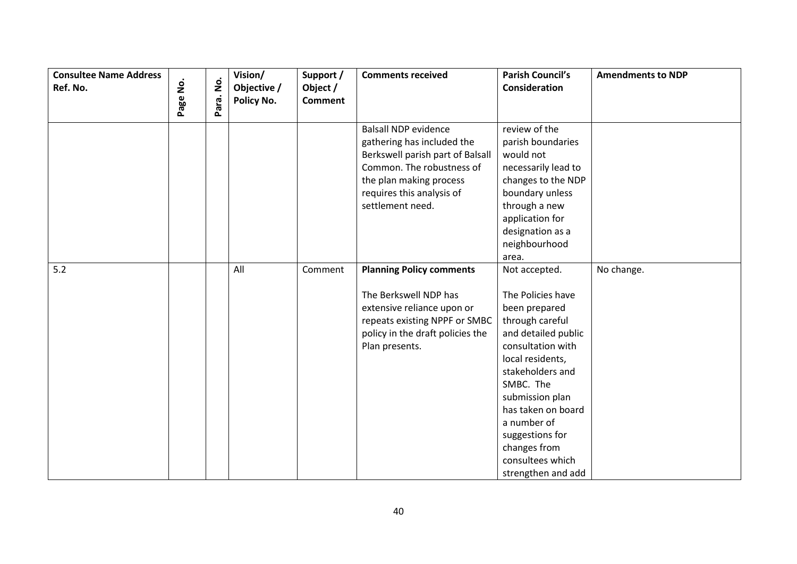| <b>Consultee Name Address</b><br>Ref. No. | ġ    | Para. No. | Vision/<br>Objective /<br>Policy No. | Support /<br>Object /<br><b>Comment</b> | <b>Comments received</b>                                                                                                                                                                               | <b>Parish Council's</b><br>Consideration                                                                                                                                                                                                                                                    | <b>Amendments to NDP</b> |
|-------------------------------------------|------|-----------|--------------------------------------|-----------------------------------------|--------------------------------------------------------------------------------------------------------------------------------------------------------------------------------------------------------|---------------------------------------------------------------------------------------------------------------------------------------------------------------------------------------------------------------------------------------------------------------------------------------------|--------------------------|
|                                           | Page |           |                                      |                                         |                                                                                                                                                                                                        |                                                                                                                                                                                                                                                                                             |                          |
|                                           |      |           |                                      |                                         | <b>Balsall NDP evidence</b><br>gathering has included the<br>Berkswell parish part of Balsall<br>Common. The robustness of<br>the plan making process<br>requires this analysis of<br>settlement need. | review of the<br>parish boundaries<br>would not<br>necessarily lead to<br>changes to the NDP<br>boundary unless<br>through a new<br>application for<br>designation as a<br>neighbourhood<br>area.                                                                                           |                          |
| 5.2                                       |      |           | All                                  | Comment                                 | <b>Planning Policy comments</b>                                                                                                                                                                        | Not accepted.                                                                                                                                                                                                                                                                               | No change.               |
|                                           |      |           |                                      |                                         | The Berkswell NDP has<br>extensive reliance upon or<br>repeats existing NPPF or SMBC<br>policy in the draft policies the<br>Plan presents.                                                             | The Policies have<br>been prepared<br>through careful<br>and detailed public<br>consultation with<br>local residents,<br>stakeholders and<br>SMBC. The<br>submission plan<br>has taken on board<br>a number of<br>suggestions for<br>changes from<br>consultees which<br>strengthen and add |                          |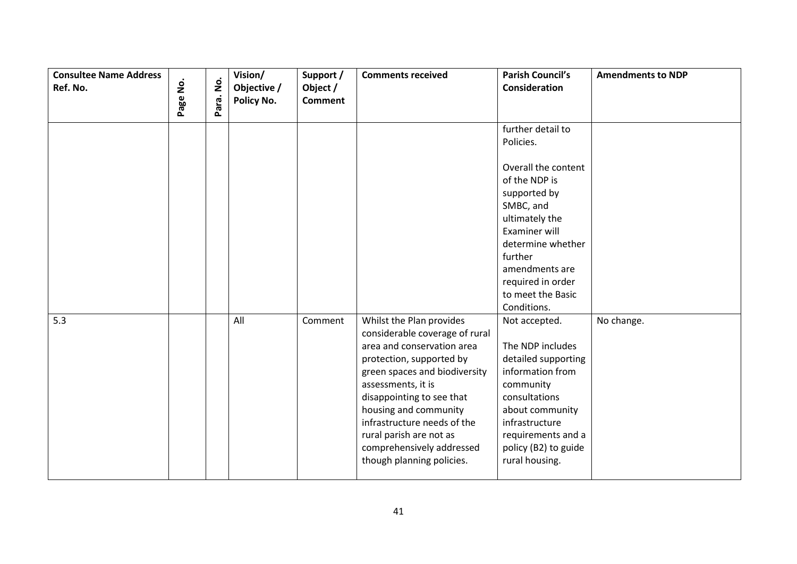| <b>Consultee Name Address</b> |          |           | Vision/     | Support /      | <b>Comments received</b>       | <b>Parish Council's</b> | <b>Amendments to NDP</b> |
|-------------------------------|----------|-----------|-------------|----------------|--------------------------------|-------------------------|--------------------------|
| Ref. No.                      |          |           | Objective / | Object /       |                                | <b>Consideration</b>    |                          |
|                               | Page No. | Para. No. | Policy No.  | <b>Comment</b> |                                |                         |                          |
|                               |          |           |             |                |                                | further detail to       |                          |
|                               |          |           |             |                |                                | Policies.               |                          |
|                               |          |           |             |                |                                |                         |                          |
|                               |          |           |             |                |                                | Overall the content     |                          |
|                               |          |           |             |                |                                | of the NDP is           |                          |
|                               |          |           |             |                |                                | supported by            |                          |
|                               |          |           |             |                |                                | SMBC, and               |                          |
|                               |          |           |             |                |                                | ultimately the          |                          |
|                               |          |           |             |                |                                | Examiner will           |                          |
|                               |          |           |             |                |                                | determine whether       |                          |
|                               |          |           |             |                |                                | further                 |                          |
|                               |          |           |             |                |                                | amendments are          |                          |
|                               |          |           |             |                |                                | required in order       |                          |
|                               |          |           |             |                |                                | to meet the Basic       |                          |
|                               |          |           |             |                |                                | Conditions.             |                          |
| 5.3                           |          |           | All         | Comment        | Whilst the Plan provides       | Not accepted.           | No change.               |
|                               |          |           |             |                | considerable coverage of rural |                         |                          |
|                               |          |           |             |                | area and conservation area     | The NDP includes        |                          |
|                               |          |           |             |                | protection, supported by       | detailed supporting     |                          |
|                               |          |           |             |                | green spaces and biodiversity  | information from        |                          |
|                               |          |           |             |                | assessments, it is             | community               |                          |
|                               |          |           |             |                | disappointing to see that      | consultations           |                          |
|                               |          |           |             |                | housing and community          | about community         |                          |
|                               |          |           |             |                | infrastructure needs of the    | infrastructure          |                          |
|                               |          |           |             |                | rural parish are not as        | requirements and a      |                          |
|                               |          |           |             |                | comprehensively addressed      | policy (B2) to guide    |                          |
|                               |          |           |             |                | though planning policies.      | rural housing.          |                          |
|                               |          |           |             |                |                                |                         |                          |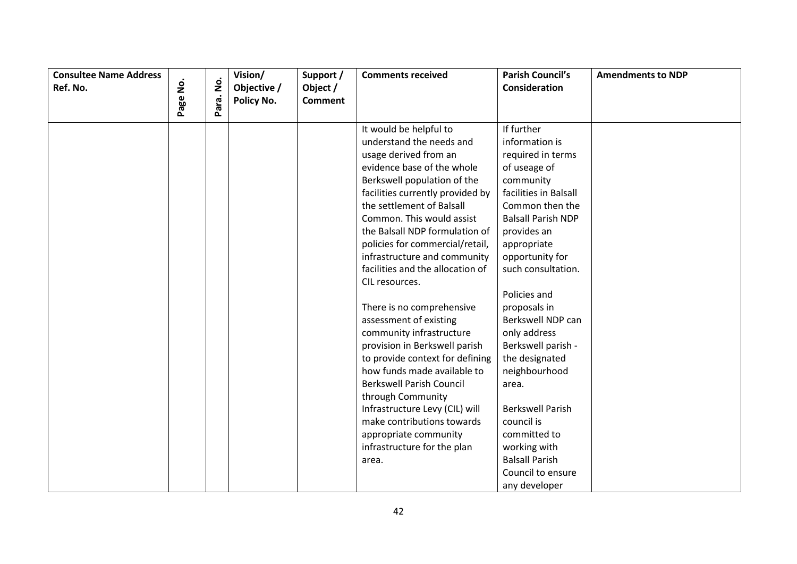| <b>Consultee Name Address</b> |          |                    | Vision/     | Support /      | <b>Comments received</b>         | <b>Parish Council's</b>   | <b>Amendments to NDP</b> |
|-------------------------------|----------|--------------------|-------------|----------------|----------------------------------|---------------------------|--------------------------|
| Ref. No.                      |          | $\dot{\mathsf{z}}$ | Objective / | Object /       |                                  | <b>Consideration</b>      |                          |
|                               | Page No. | Para.              | Policy No.  | <b>Comment</b> |                                  |                           |                          |
|                               |          |                    |             |                |                                  |                           |                          |
|                               |          |                    |             |                | It would be helpful to           | If further                |                          |
|                               |          |                    |             |                | understand the needs and         | information is            |                          |
|                               |          |                    |             |                | usage derived from an            | required in terms         |                          |
|                               |          |                    |             |                | evidence base of the whole       | of useage of              |                          |
|                               |          |                    |             |                | Berkswell population of the      | community                 |                          |
|                               |          |                    |             |                | facilities currently provided by | facilities in Balsall     |                          |
|                               |          |                    |             |                | the settlement of Balsall        | Common then the           |                          |
|                               |          |                    |             |                | Common. This would assist        | <b>Balsall Parish NDP</b> |                          |
|                               |          |                    |             |                | the Balsall NDP formulation of   | provides an               |                          |
|                               |          |                    |             |                | policies for commercial/retail,  | appropriate               |                          |
|                               |          |                    |             |                | infrastructure and community     | opportunity for           |                          |
|                               |          |                    |             |                | facilities and the allocation of | such consultation.        |                          |
|                               |          |                    |             |                | CIL resources.                   |                           |                          |
|                               |          |                    |             |                |                                  | Policies and              |                          |
|                               |          |                    |             |                | There is no comprehensive        | proposals in              |                          |
|                               |          |                    |             |                | assessment of existing           | Berkswell NDP can         |                          |
|                               |          |                    |             |                | community infrastructure         | only address              |                          |
|                               |          |                    |             |                | provision in Berkswell parish    | Berkswell parish -        |                          |
|                               |          |                    |             |                | to provide context for defining  | the designated            |                          |
|                               |          |                    |             |                | how funds made available to      | neighbourhood             |                          |
|                               |          |                    |             |                | <b>Berkswell Parish Council</b>  | area.                     |                          |
|                               |          |                    |             |                | through Community                |                           |                          |
|                               |          |                    |             |                | Infrastructure Levy (CIL) will   | <b>Berkswell Parish</b>   |                          |
|                               |          |                    |             |                | make contributions towards       | council is                |                          |
|                               |          |                    |             |                | appropriate community            | committed to              |                          |
|                               |          |                    |             |                | infrastructure for the plan      | working with              |                          |
|                               |          |                    |             |                | area.                            | <b>Balsall Parish</b>     |                          |
|                               |          |                    |             |                |                                  | Council to ensure         |                          |
|                               |          |                    |             |                |                                  | any developer             |                          |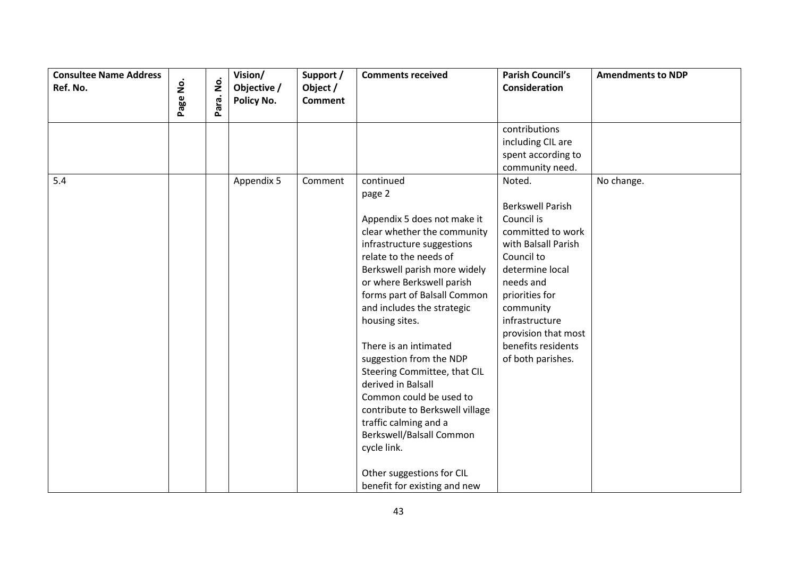| <b>Consultee Name Address</b> |                    | $\dot{\mathsf{S}}$ | Vision/                          | Support /                  | <b>Comments received</b>                                                                                                                                                                                                                                                                                                                                                                                                                                                                                                                                                           | <b>Parish Council's</b>                                                                                                                                                                                                                            | <b>Amendments to NDP</b> |
|-------------------------------|--------------------|--------------------|----------------------------------|----------------------------|------------------------------------------------------------------------------------------------------------------------------------------------------------------------------------------------------------------------------------------------------------------------------------------------------------------------------------------------------------------------------------------------------------------------------------------------------------------------------------------------------------------------------------------------------------------------------------|----------------------------------------------------------------------------------------------------------------------------------------------------------------------------------------------------------------------------------------------------|--------------------------|
| Ref. No.                      | $\dot{\mathsf{S}}$ |                    | Objective /<br><b>Policy No.</b> | Object /<br><b>Comment</b> |                                                                                                                                                                                                                                                                                                                                                                                                                                                                                                                                                                                    | Consideration                                                                                                                                                                                                                                      |                          |
|                               | Page               | Para.              |                                  |                            |                                                                                                                                                                                                                                                                                                                                                                                                                                                                                                                                                                                    |                                                                                                                                                                                                                                                    |                          |
| 5.4                           |                    |                    | Appendix 5                       | Comment                    | continued                                                                                                                                                                                                                                                                                                                                                                                                                                                                                                                                                                          | contributions<br>including CIL are<br>spent according to<br>community need.<br>Noted.                                                                                                                                                              | No change.               |
|                               |                    |                    |                                  |                            | page 2<br>Appendix 5 does not make it<br>clear whether the community<br>infrastructure suggestions<br>relate to the needs of<br>Berkswell parish more widely<br>or where Berkswell parish<br>forms part of Balsall Common<br>and includes the strategic<br>housing sites.<br>There is an intimated<br>suggestion from the NDP<br>Steering Committee, that CIL<br>derived in Balsall<br>Common could be used to<br>contribute to Berkswell village<br>traffic calming and a<br>Berkswell/Balsall Common<br>cycle link.<br>Other suggestions for CIL<br>benefit for existing and new | <b>Berkswell Parish</b><br>Council is<br>committed to work<br>with Balsall Parish<br>Council to<br>determine local<br>needs and<br>priorities for<br>community<br>infrastructure<br>provision that most<br>benefits residents<br>of both parishes. |                          |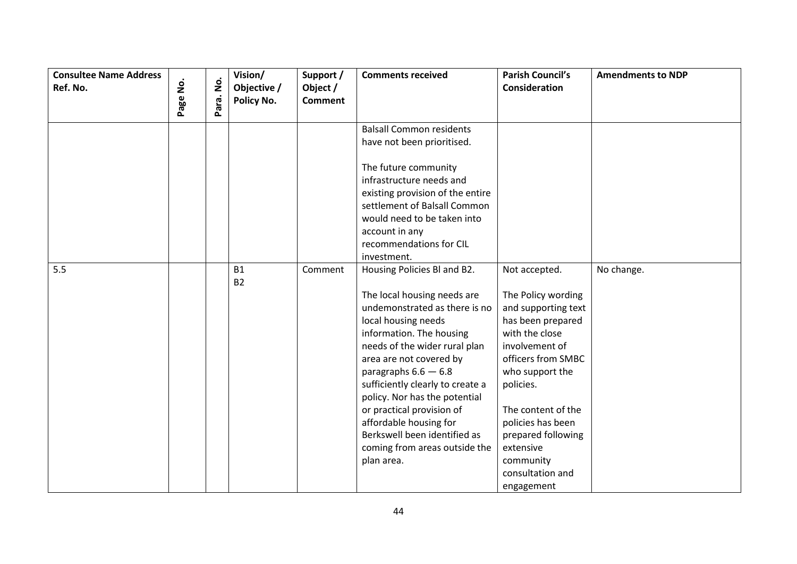| <b>Consultee Name Address</b> |          | $\mathbf{\dot{g}}$ | Vision/     | Support /      | <b>Comments received</b>         | <b>Parish Council's</b> | <b>Amendments to NDP</b> |
|-------------------------------|----------|--------------------|-------------|----------------|----------------------------------|-------------------------|--------------------------|
| Ref. No.                      |          |                    | Objective / | Object /       |                                  | Consideration           |                          |
|                               | Page No. | Para.              | Policy No.  | <b>Comment</b> |                                  |                         |                          |
|                               |          |                    |             |                | <b>Balsall Common residents</b>  |                         |                          |
|                               |          |                    |             |                | have not been prioritised.       |                         |                          |
|                               |          |                    |             |                | The future community             |                         |                          |
|                               |          |                    |             |                | infrastructure needs and         |                         |                          |
|                               |          |                    |             |                | existing provision of the entire |                         |                          |
|                               |          |                    |             |                | settlement of Balsall Common     |                         |                          |
|                               |          |                    |             |                | would need to be taken into      |                         |                          |
|                               |          |                    |             |                | account in any                   |                         |                          |
|                               |          |                    |             |                | recommendations for CIL          |                         |                          |
|                               |          |                    |             |                | investment.                      |                         |                          |
| 5.5                           |          |                    | <b>B1</b>   | Comment        | Housing Policies Bl and B2.      | Not accepted.           | No change.               |
|                               |          |                    | <b>B2</b>   |                |                                  |                         |                          |
|                               |          |                    |             |                | The local housing needs are      | The Policy wording      |                          |
|                               |          |                    |             |                | undemonstrated as there is no    | and supporting text     |                          |
|                               |          |                    |             |                | local housing needs              | has been prepared       |                          |
|                               |          |                    |             |                | information. The housing         | with the close          |                          |
|                               |          |                    |             |                | needs of the wider rural plan    | involvement of          |                          |
|                               |          |                    |             |                | area are not covered by          | officers from SMBC      |                          |
|                               |          |                    |             |                | paragraphs $6.6 - 6.8$           | who support the         |                          |
|                               |          |                    |             |                | sufficiently clearly to create a | policies.               |                          |
|                               |          |                    |             |                | policy. Nor has the potential    |                         |                          |
|                               |          |                    |             |                | or practical provision of        | The content of the      |                          |
|                               |          |                    |             |                | affordable housing for           | policies has been       |                          |
|                               |          |                    |             |                | Berkswell been identified as     | prepared following      |                          |
|                               |          |                    |             |                | coming from areas outside the    | extensive               |                          |
|                               |          |                    |             |                | plan area.                       | community               |                          |
|                               |          |                    |             |                |                                  | consultation and        |                          |
|                               |          |                    |             |                |                                  | engagement              |                          |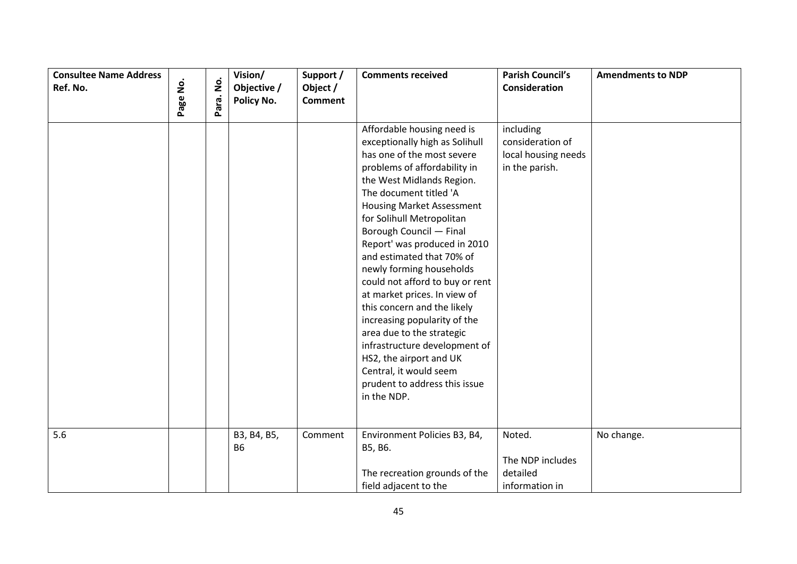| <b>Consultee Name Address</b><br>Ref. No. | $\mathbf{\dot{g}}$ | $\mathbf{\dot{g}}$ | Vision/<br>Objective /   | Support /<br>Object / | <b>Comments received</b>                                                                                                                                                                                                                                                                                                                                                                                                                                                                                                                                                                                                                                                    | <b>Parish Council's</b><br>Consideration                               | <b>Amendments to NDP</b> |
|-------------------------------------------|--------------------|--------------------|--------------------------|-----------------------|-----------------------------------------------------------------------------------------------------------------------------------------------------------------------------------------------------------------------------------------------------------------------------------------------------------------------------------------------------------------------------------------------------------------------------------------------------------------------------------------------------------------------------------------------------------------------------------------------------------------------------------------------------------------------------|------------------------------------------------------------------------|--------------------------|
|                                           | Page               | Para.              | Policy No.               | <b>Comment</b>        |                                                                                                                                                                                                                                                                                                                                                                                                                                                                                                                                                                                                                                                                             |                                                                        |                          |
|                                           |                    |                    |                          |                       | Affordable housing need is<br>exceptionally high as Solihull<br>has one of the most severe<br>problems of affordability in<br>the West Midlands Region.<br>The document titled 'A<br><b>Housing Market Assessment</b><br>for Solihull Metropolitan<br>Borough Council - Final<br>Report' was produced in 2010<br>and estimated that 70% of<br>newly forming households<br>could not afford to buy or rent<br>at market prices. In view of<br>this concern and the likely<br>increasing popularity of the<br>area due to the strategic<br>infrastructure development of<br>HS2, the airport and UK<br>Central, it would seem<br>prudent to address this issue<br>in the NDP. | including<br>consideration of<br>local housing needs<br>in the parish. |                          |
| 5.6                                       |                    |                    | B3, B4, B5,<br><b>B6</b> | Comment               | Environment Policies B3, B4,<br>B5, B6.<br>The recreation grounds of the<br>field adjacent to the                                                                                                                                                                                                                                                                                                                                                                                                                                                                                                                                                                           | Noted.<br>The NDP includes<br>detailed<br>information in               | No change.               |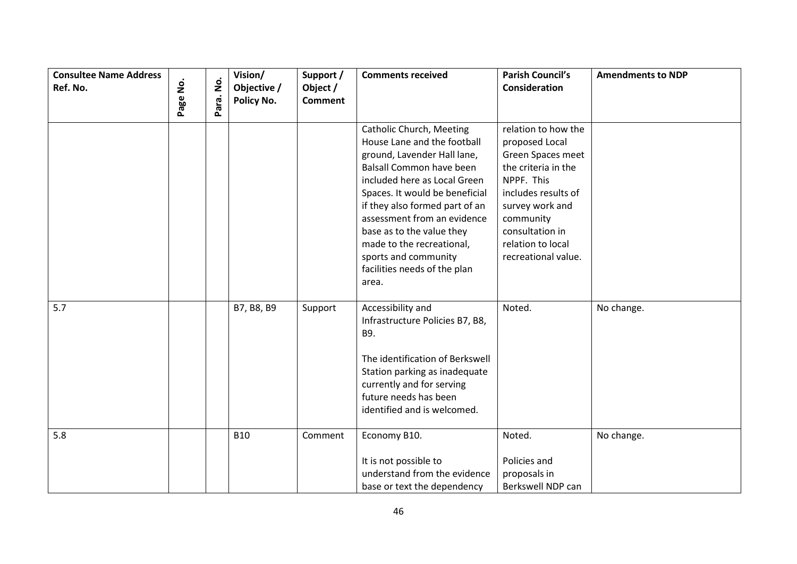| <b>Consultee Name Address</b><br>Ref. No. | $\dot{\mathsf{S}}$<br>Page | $\dot{\mathsf{z}}$<br>Para. | Vision/<br>Objective /<br>Policy No. | Support /<br>Object /<br><b>Comment</b> | <b>Comments received</b>                                                                                                                                                                                                                                                                                                                                                                       | <b>Parish Council's</b><br>Consideration                                                                                                                                                                              | <b>Amendments to NDP</b> |
|-------------------------------------------|----------------------------|-----------------------------|--------------------------------------|-----------------------------------------|------------------------------------------------------------------------------------------------------------------------------------------------------------------------------------------------------------------------------------------------------------------------------------------------------------------------------------------------------------------------------------------------|-----------------------------------------------------------------------------------------------------------------------------------------------------------------------------------------------------------------------|--------------------------|
|                                           |                            |                             |                                      |                                         | <b>Catholic Church, Meeting</b><br>House Lane and the football<br>ground, Lavender Hall lane,<br><b>Balsall Common have been</b><br>included here as Local Green<br>Spaces. It would be beneficial<br>if they also formed part of an<br>assessment from an evidence<br>base as to the value they<br>made to the recreational,<br>sports and community<br>facilities needs of the plan<br>area. | relation to how the<br>proposed Local<br>Green Spaces meet<br>the criteria in the<br>NPPF. This<br>includes results of<br>survey work and<br>community<br>consultation in<br>relation to local<br>recreational value. |                          |
| 5.7                                       |                            |                             | B7, B8, B9                           | Support                                 | Accessibility and<br>Infrastructure Policies B7, B8,<br>B9.<br>The identification of Berkswell<br>Station parking as inadequate<br>currently and for serving<br>future needs has been<br>identified and is welcomed.                                                                                                                                                                           | Noted.                                                                                                                                                                                                                | No change.               |
| 5.8                                       |                            |                             | <b>B10</b>                           | Comment                                 | Economy B10.<br>It is not possible to<br>understand from the evidence<br>base or text the dependency                                                                                                                                                                                                                                                                                           | Noted.<br>Policies and<br>proposals in<br>Berkswell NDP can                                                                                                                                                           | No change.               |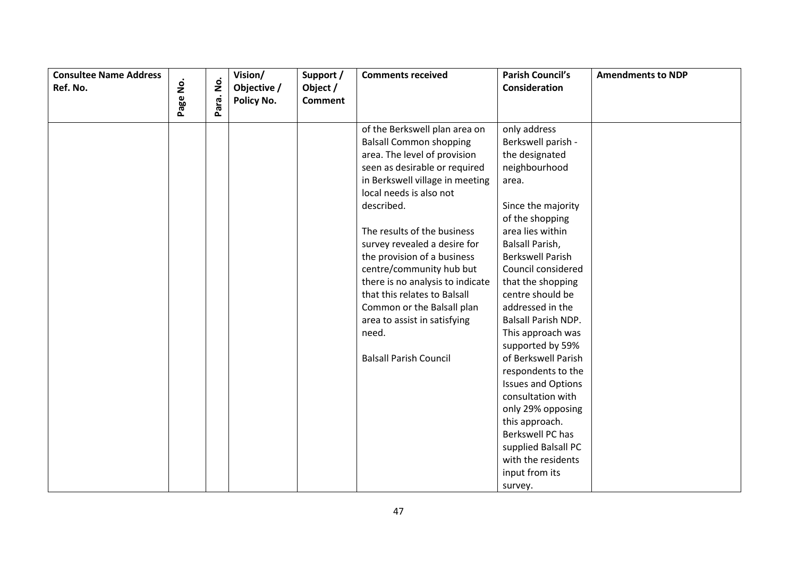| <b>Consultee Name Address</b> |          | $\dot{\mathsf{g}}$ | Vision/     | Support /      | <b>Comments received</b>         | <b>Parish Council's</b>   | <b>Amendments to NDP</b> |
|-------------------------------|----------|--------------------|-------------|----------------|----------------------------------|---------------------------|--------------------------|
| Ref. No.                      |          |                    | Objective / | Object /       |                                  | Consideration             |                          |
|                               | Page No. | Para.              | Policy No.  | <b>Comment</b> |                                  |                           |                          |
|                               |          |                    |             |                | of the Berkswell plan area on    | only address              |                          |
|                               |          |                    |             |                | <b>Balsall Common shopping</b>   | Berkswell parish -        |                          |
|                               |          |                    |             |                | area. The level of provision     | the designated            |                          |
|                               |          |                    |             |                | seen as desirable or required    | neighbourhood             |                          |
|                               |          |                    |             |                | in Berkswell village in meeting  | area.                     |                          |
|                               |          |                    |             |                | local needs is also not          |                           |                          |
|                               |          |                    |             |                | described.                       | Since the majority        |                          |
|                               |          |                    |             |                |                                  | of the shopping           |                          |
|                               |          |                    |             |                | The results of the business      | area lies within          |                          |
|                               |          |                    |             |                | survey revealed a desire for     | Balsall Parish,           |                          |
|                               |          |                    |             |                | the provision of a business      | <b>Berkswell Parish</b>   |                          |
|                               |          |                    |             |                | centre/community hub but         | Council considered        |                          |
|                               |          |                    |             |                | there is no analysis to indicate | that the shopping         |                          |
|                               |          |                    |             |                | that this relates to Balsall     | centre should be          |                          |
|                               |          |                    |             |                | Common or the Balsall plan       | addressed in the          |                          |
|                               |          |                    |             |                | area to assist in satisfying     | Balsall Parish NDP.       |                          |
|                               |          |                    |             |                | need.                            | This approach was         |                          |
|                               |          |                    |             |                |                                  | supported by 59%          |                          |
|                               |          |                    |             |                | <b>Balsall Parish Council</b>    | of Berkswell Parish       |                          |
|                               |          |                    |             |                |                                  | respondents to the        |                          |
|                               |          |                    |             |                |                                  | <b>Issues and Options</b> |                          |
|                               |          |                    |             |                |                                  | consultation with         |                          |
|                               |          |                    |             |                |                                  | only 29% opposing         |                          |
|                               |          |                    |             |                |                                  | this approach.            |                          |
|                               |          |                    |             |                |                                  | Berkswell PC has          |                          |
|                               |          |                    |             |                |                                  | supplied Balsall PC       |                          |
|                               |          |                    |             |                |                                  | with the residents        |                          |
|                               |          |                    |             |                |                                  | input from its            |                          |
|                               |          |                    |             |                |                                  | survey.                   |                          |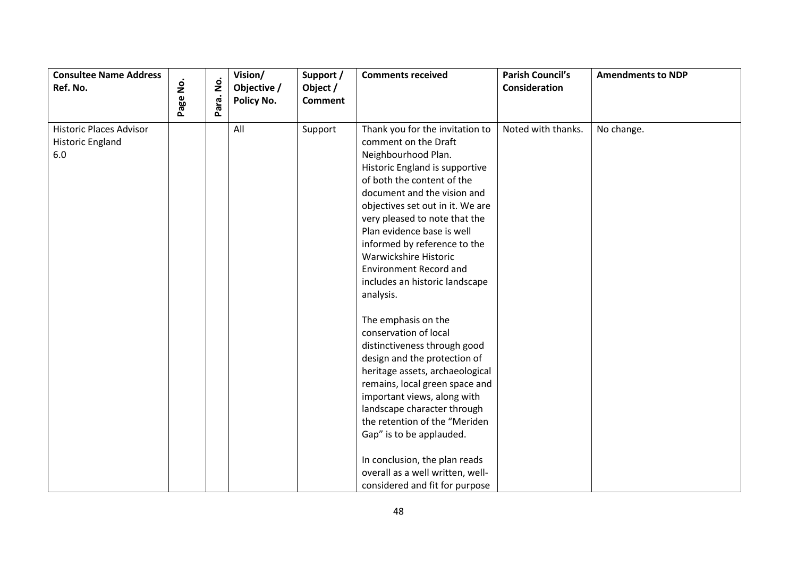| <b>Consultee Name Address</b><br>Ref. No.                        | Page No. | $\dot{\mathsf{p}}$ | Vision/<br>Objective /<br>Policy No. | Support /<br>Object /<br><b>Comment</b> | <b>Comments received</b>                                                                                                                                                                                                                                                                                                                                                                                                                                                                                                                                                                                                                                                                                                                                                   | <b>Parish Council's</b><br><b>Consideration</b> | <b>Amendments to NDP</b> |
|------------------------------------------------------------------|----------|--------------------|--------------------------------------|-----------------------------------------|----------------------------------------------------------------------------------------------------------------------------------------------------------------------------------------------------------------------------------------------------------------------------------------------------------------------------------------------------------------------------------------------------------------------------------------------------------------------------------------------------------------------------------------------------------------------------------------------------------------------------------------------------------------------------------------------------------------------------------------------------------------------------|-------------------------------------------------|--------------------------|
|                                                                  |          | Para.              |                                      |                                         |                                                                                                                                                                                                                                                                                                                                                                                                                                                                                                                                                                                                                                                                                                                                                                            |                                                 |                          |
| <b>Historic Places Advisor</b><br><b>Historic England</b><br>6.0 |          |                    | All                                  | Support                                 | Thank you for the invitation to<br>comment on the Draft<br>Neighbourhood Plan.<br>Historic England is supportive<br>of both the content of the<br>document and the vision and<br>objectives set out in it. We are<br>very pleased to note that the<br>Plan evidence base is well<br>informed by reference to the<br>Warwickshire Historic<br><b>Environment Record and</b><br>includes an historic landscape<br>analysis.<br>The emphasis on the<br>conservation of local<br>distinctiveness through good<br>design and the protection of<br>heritage assets, archaeological<br>remains, local green space and<br>important views, along with<br>landscape character through<br>the retention of the "Meriden<br>Gap" is to be applauded.<br>In conclusion, the plan reads | Noted with thanks.                              | No change.               |
|                                                                  |          |                    |                                      |                                         | overall as a well written, well-<br>considered and fit for purpose                                                                                                                                                                                                                                                                                                                                                                                                                                                                                                                                                                                                                                                                                                         |                                                 |                          |